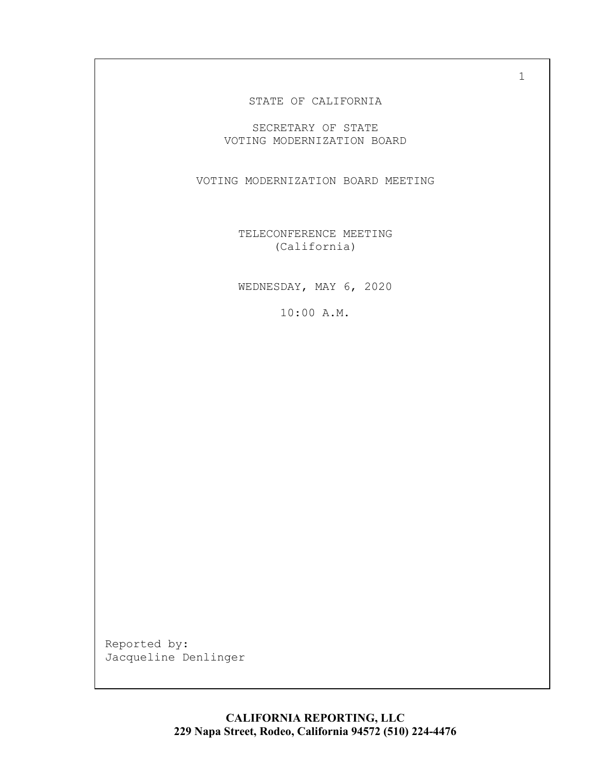#### STATE OF CALIFORNIA

SECRETARY OF STATE VOTING MODERNIZATION BOARD

VOTING MODERNIZATION BOARD MEETING

TELECONFERENCE MEETING (California)

WEDNESDAY, MAY 6, 2020

10:00 A.M.

Reported by:<br>Jacqueline Denlinger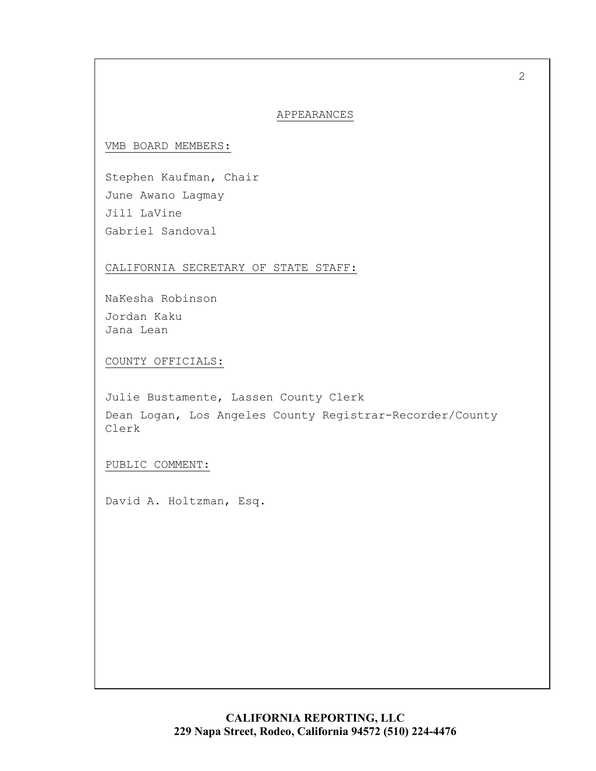### APPEARANCES

VMB BOARD MEMBERS:

Stephen Kaufman, Chair June Awano Lagmay Jill LaVine Gabriel Sandoval

CALIFORNIA SECRETARY OF STATE STAFF:

NaKesha Robinson Jordan Kaku Jana Lean

COUNTY OFFICIALS:

Julie Bustamente, Lassen County Clerk Dean Logan, Los Angeles County Registrar-Recorder/County Clerk

PUBLIC COMMENT:

David A. Holtzman, Esq.

**CALIFORNIA REPORTING, LLC 229 Napa Street, Rodeo, California 94572 (510) 224-4476**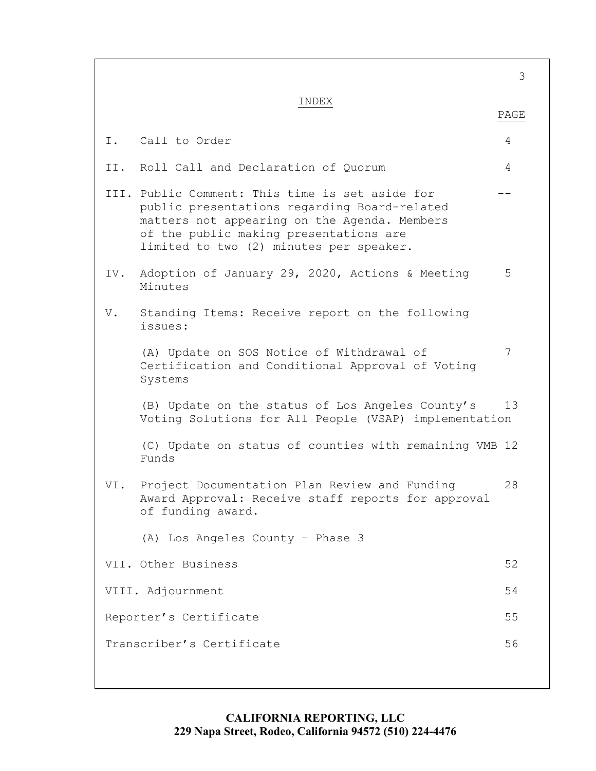(C) Update on status of counties with remaining VMB 12 VI. Project Documentation Plan Review and Funding 28 of funding award. (A) Los Angeles County – Phase 3 3 INDEX PAGE I. Call to Order 4 II. Roll Call and Declaration of Quorum 4 III. Public Comment: This time is set aside for  $$ public presentations regarding Board-related matters not appearing on the Agenda. Members of the public making presentations are limited to two (2) minutes per speaker. IV. Adoption of January 29, 2020, Actions & Meeting 5 Minutes V. Standing Items: Receive report on the following issues: (A) Update on SOS Notice of Withdrawal of 7 Certification and Conditional Approval of Voting Systems (B) Update on the status of Los Angeles County's 13 Voting Solutions for All People (VSAP) implementation Funds Award Approval: Receive staff reports for approval VII. Other Business 32 VIII. Adjournment 54 Reporter's Certificate 55 Transcriber's Certificate 56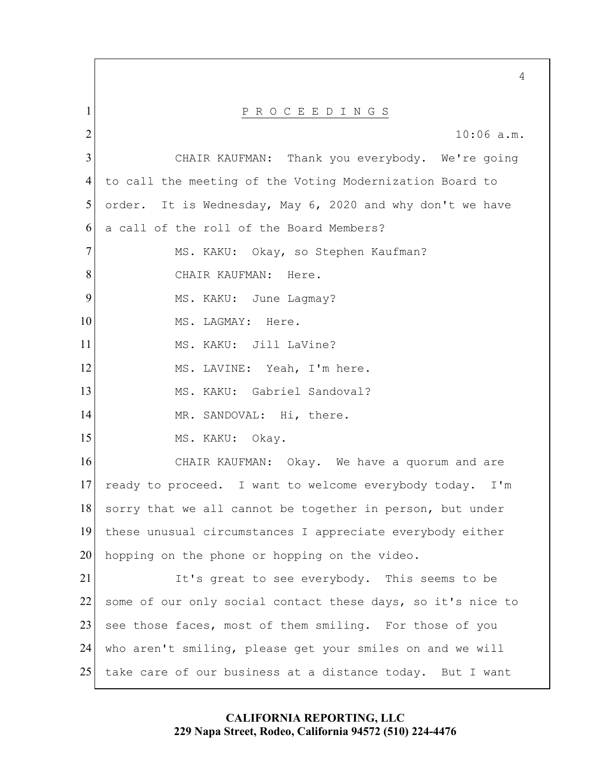CHAIR KAUFMAN: a call of the roll of the Board Members? a call of the roll of the Board Members?<br>MS. KAKU: Okay, so Stephen Kaufman? CHAIR KAUFMAN: Here. MS. LAGMAY: Here. MS. KAKU: Jill LaVine? MS. KAKU: Gabriel Sandoval? MS. KAKU: Okay. ready to proceed. I want to welcome everybody today. I'm 5 10 15 20 25 1 2 3 4 6 7 8 9 11 12 13 14 16 17 18 19 21  $22$ 23 24 P R O C E E D I N G S 10:06 a.m. Thank you everybody. We're going to call the meeting of the Voting Modernization Board to order. It is Wednesday, May 6, 2020 and why don't we have MS. KAKU: June Lagmay? MS. LAVINE: Yeah, I'm here. MR. SANDOVAL: Hi, there. CHAIR KAUFMAN: Okay. We have a quorum and are sorry that we all cannot be together in person, but under these unusual circumstances I appreciate everybody either hopping on the phone or hopping on the video. It's great to see everybody. This seems to be some of our only social contact these days, so it's nice to see those faces, most of them smiling. For those of you who aren't smiling, please get your smiles on and we will take care of our business at a distance today. But I want

## **CALIFORNIA REPORTING, LLC 229 Napa Street, Rodeo, California 94572 (510) 224-4476**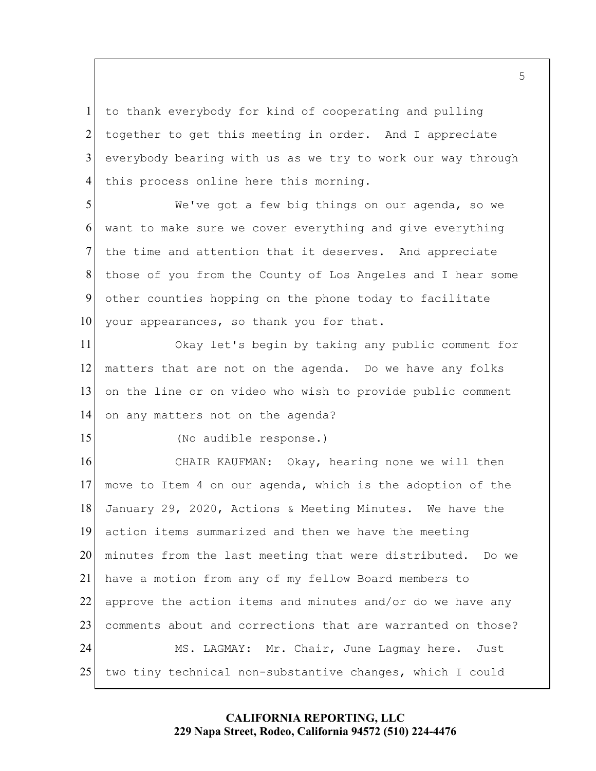1 2 3 4 to thank everybody for kind of cooperating and pulling together to get this meeting in order. And I appreciate everybody bearing with us as we try to work our way through this process online here this morning.

5 10 6 7 8 9 We've got a few big things on our agenda, so we want to make sure we cover everything and give everything the time and attention that it deserves. And appreciate those of you from the County of Los Angeles and I hear some other counties hopping on the phone today to facilitate your appearances, so thank you for that.

11 12 13 14 Okay let's begin by taking any public comment for matters that are not on the agenda. Do we have any folks on the line or on video who wish to provide public comment on any matters not on the agenda?

(No audible response.)

15

 January 29, 2020, Actions & Meeting Minutes. We have the minutes from the last meeting that were distributed. Do we MS. LAGMAY: Mr. Chair, June Lagmay here. Just 20 25 16 17 18 19 21 22 23 24 CHAIR KAUFMAN: Okay, hearing none we will then move to Item 4 on our agenda, which is the adoption of the action items summarized and then we have the meeting have a motion from any of my fellow Board members to approve the action items and minutes and/or do we have any comments about and corrections that are warranted on those? two tiny technical non-substantive changes, which I could

## **CALIFORNIA REPORTING, LLC 229 Napa Street, Rodeo, California 94572 (510) 224-4476**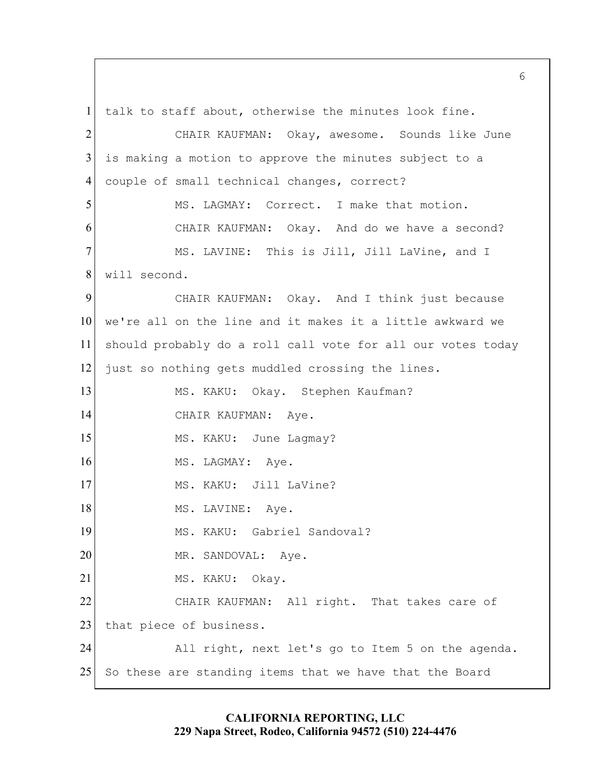MS. KAKU: Okay. Stephen Kaufman? CHAIR KAUFMAN: Aye. MS. LAGMAY: Aye. MS. KAKU: Jill LaVine? MS. KAKU: Gabriel Sandoval? MS. KAKU: Okay. 5 10 15 20 25 1 2 3 4 6 7 8 9 11 12 13 14 16 17 18 19 21 22 23 24 talk to staff about, otherwise the minutes look fine. CHAIR KAUFMAN: Okay, awesome. Sounds like June is making a motion to approve the minutes subject to a couple of small technical changes, correct? MS. LAGMAY: Correct. I make that motion. CHAIR KAUFMAN: Okay. And do we have a second? MS. LAVINE: This is Jill, Jill LaVine, and I will second. CHAIR KAUFMAN: Okay. And I think just because we're all on the line and it makes it a little awkward we should probably do a roll call vote for all our votes today just so nothing gets muddled crossing the lines. MS. KAKU: June Lagmay? MS. LAVINE: Aye. MR. SANDOVAL: Aye. CHAIR KAUFMAN: All right. That takes care of that piece of business. All right, next let's go to Item 5 on the agenda. So these are standing items that we have that the Board

 $6 \overline{6}$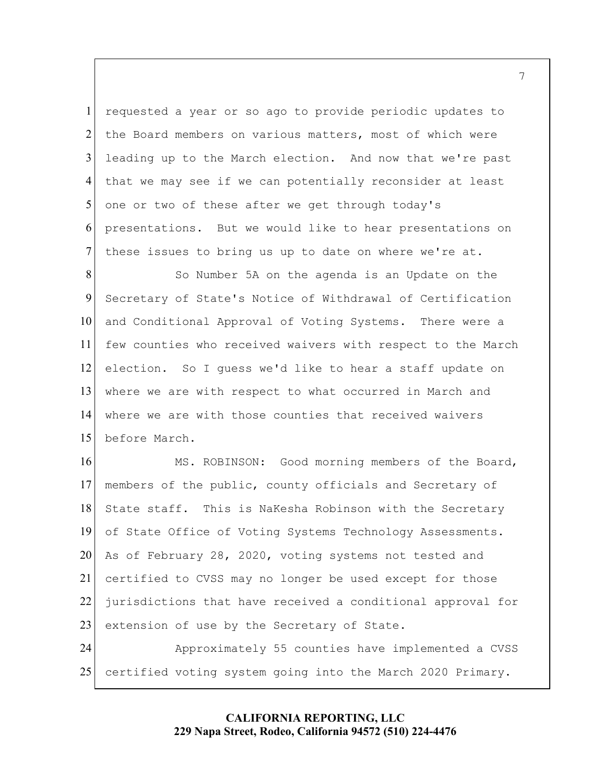presentations. But we would like to hear presentations on 5 1 2 3 4 6 7 requested a year or so ago to provide periodic updates to the Board members on various matters, most of which were leading up to the March election. And now that we're past that we may see if we can potentially reconsider at least one or two of these after we get through today's these issues to bring us up to date on where we're at.

 where we are with those counties that received waivers 10 15 8 9 11 12 13 14 So Number 5A on the agenda is an Update on the Secretary of State's Notice of Withdrawal of Certification and Conditional Approval of Voting Systems. There were a few counties who received waivers with respect to the March election. So I guess we'd like to hear a staff update on where we are with respect to what occurred in March and before March.

20 25 16 17 18 19 21 22 23 24 MS. ROBINSON: Good morning members of the Board, members of the public, county officials and Secretary of State staff. This is NaKesha Robinson with the Secretary of State Office of Voting Systems Technology Assessments. As of February 28, 2020, voting systems not tested and certified to CVSS may no longer be used except for those jurisdictions that have received a conditional approval for extension of use by the Secretary of State. Approximately 55 counties have implemented a CVSS certified voting system going into the March 2020 Primary.

## **CALIFORNIA REPORTING, LLC 229 Napa Street, Rodeo, California 94572 (510) 224-4476**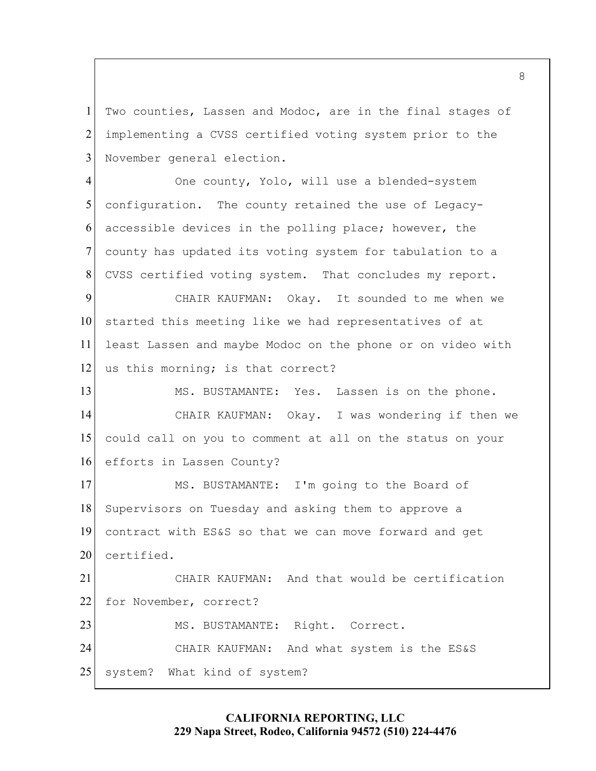1 2 3 Two counties, Lassen and Modoc, are in the final stages of implementing a CVSS certified voting system prior to the November general election.

5 4 6 7 8 One county, Yolo, will use a blended-system configuration. The county retained the use of Legacyaccessible devices in the polling place; however, the county has updated its voting system for tabulation to a CVSS certified voting system. That concludes my report.

10 9 11 12 CHAIR KAUFMAN: Okay. It sounded to me when we started this meeting like we had representatives of at least Lassen and maybe Modoc on the phone or on video with us this morning; is that correct?

 MS. BUSTAMANTE: Yes. Lassen is on the phone. 15 13 14 16 CHAIR KAUFMAN: Okay. I was wondering if then we could call on you to comment at all on the status on your efforts in Lassen County?

20 17 18 19 MS. BUSTAMANTE: I'm going to the Board of Supervisors on Tuesday and asking them to approve a contract with ES&S so that we can move forward and get certified.

 CHAIR KAUFMAN: And what system is the ES&S 25 21 22 23 24 CHAIR KAUFMAN: And that would be certification for November, correct? MS. BUSTAMANTE: Right. Correct. system? What kind of system?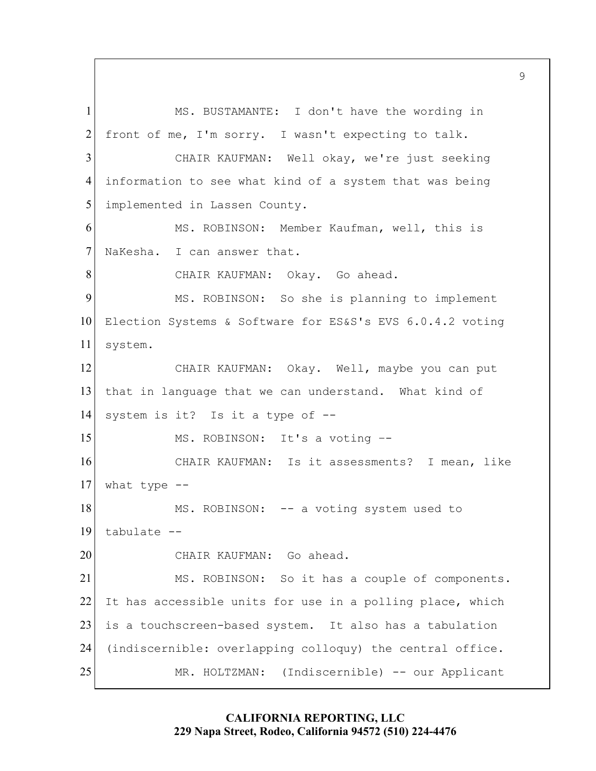front of me, I'm sorry. I wasn't expecting to talk. MS. ROBINSON: It's a voting –- 5 10 15 20 25 1 2 3 4 6 7 8 9 11 12 13 14 16 17 18 19 21 22 23 24 MS. BUSTAMANTE: I don't have the wording in CHAIR KAUFMAN: Well okay, we're just seeking information to see what kind of a system that was being implemented in Lassen County. MS. ROBINSON: Member Kaufman, well, this is NaKesha. I can answer that. CHAIR KAUFMAN: Okay. Go ahead. MS. ROBINSON: So she is planning to implement Election Systems & Software for ES&S's EVS 6.0.4.2 voting system. CHAIR KAUFMAN: Okay. Well, maybe you can put that in language that we can understand. What kind of system is it? Is it a type of --CHAIR KAUFMAN: Is it assessments? I mean, like what type -- MS. ROBINSON: -- a voting system used to tabulate -- CHAIR KAUFMAN: Go ahead. MS. ROBINSON: So it has a couple of components. It has accessible units for use in a polling place, which is a touchscreen-based system. It also has a tabulation (indiscernible: overlapping colloquy) the central office. MR. HOLTZMAN: (Indiscernible) -- our Applicant

> **CALIFORNIA REPORTING, LLC 229 Napa Street, Rodeo, California 94572 (510) 224-4476**

 $\mathsf{Q}$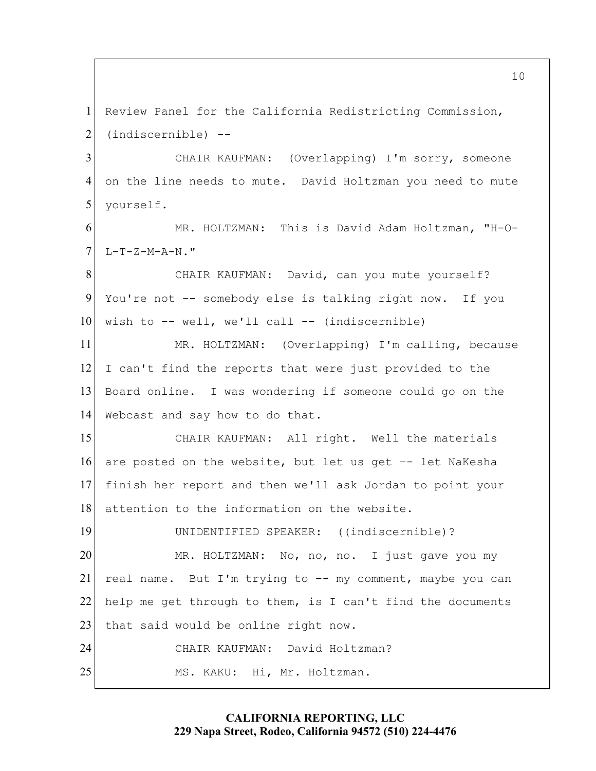CHAIR KAUFMAN: (Overlapping) I'm sorry, someone 5 10 15 20 25 1 2 3 4 6 7 8 9 11 12 13 14 16 17 18 19 21 22 23 24 Review Panel for the California Redistricting Commission, (indiscernible) - on the line needs to mute. David Holtzman you need to mute yourself. MR. HOLTZMAN: This is David Adam Holtzman, "H-O-L-T-Z-M-A-N."<br>CHAIR KAUFMAN: David, can you mute yourself? You're not –- somebody else is talking right now. If you wish to  $--$  well, we'll call  $--$  (indiscernible) MR. HOLTZMAN: (Overlapping) I'm calling, because I can't find the reports that were just provided to the Board online. I was wondering if someone could go on the Webcast and say how to do that. CHAIR KAUFMAN: All right. Well the materials are posted on the website, but let us get –- let NaKesha finish her report and then we'll ask Jordan to point your attention to the information on the website. UNIDENTIFIED SPEAKER: ((indiscernible)? MR. HOLTZMAN: No, no, no. I just gave you my real name. But I'm trying to –- my comment, maybe you can help me get through to them, is I can't find the documents that said would be online right now. CHAIR KAUFMAN: David Holtzman? MS. KAKU: Hi, Mr. Holtzman.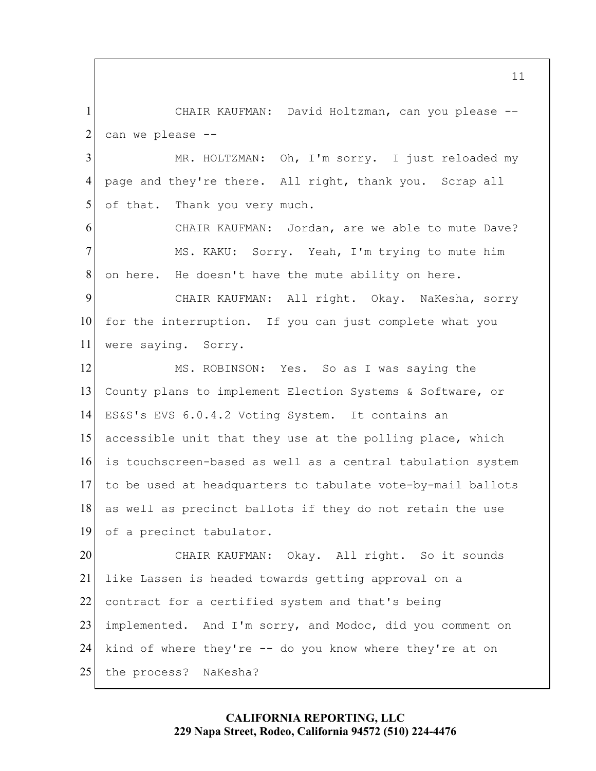CHAIR KAUFMAN: David Holtzman, can you please -– 1 2 can we please --

5 3 4 MR. HOLTZMAN: Oh, I'm sorry. I just reloaded my page and they're there. All right, thank you. Scrap all of that. Thank you very much.

 CHAIR KAUFMAN: Jordan, are we able to mute Dave? 6 7 8 MS. KAKU: Sorry. Yeah, I'm trying to mute him on here. He doesn't have the mute ability on here.

10 9 11 CHAIR KAUFMAN: All right. Okay. NaKesha, sorry for the interruption. If you can just complete what you were saying. Sorry.

 ES&S's EVS 6.0.4.2 Voting System. It contains an 15 12 13 14 16 17 18 19 MS. ROBINSON: Yes. So as I was saying the County plans to implement Election Systems & Software, or accessible unit that they use at the polling place, which is touchscreen-based as well as a central tabulation system to be used at headquarters to tabulate vote-by-mail ballots as well as precinct ballots if they do not retain the use of a precinct tabulator.

 the process? NaKesha? 20 25 21 22 23 24 CHAIR KAUFMAN: Okay. All right. So it sounds like Lassen is headed towards getting approval on a contract for a certified system and that's being implemented. And I'm sorry, and Modoc, did you comment on kind of where they're -- do you know where they're at on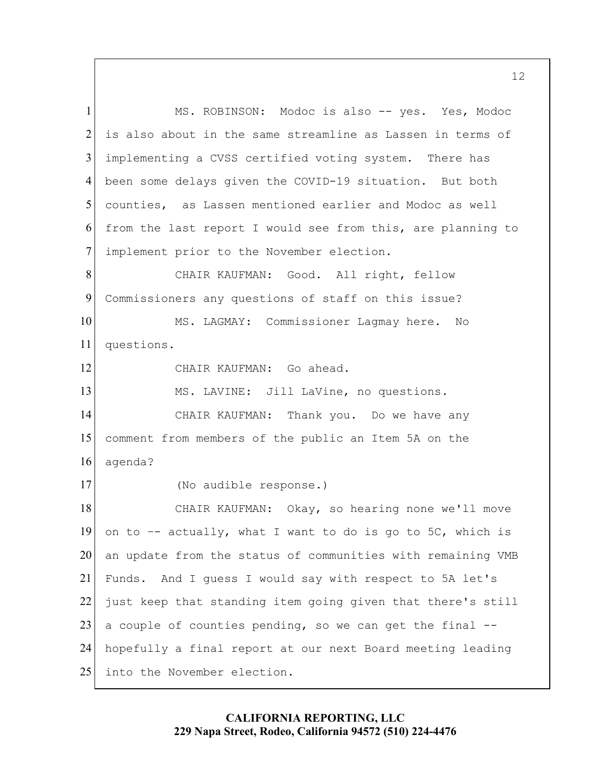MS. ROBINSON: Modoc is also -- yes. Yes, Modoc counties, as Lassen mentioned earlier and Modoc as well CHAIR KAUFMAN: Thank you. Do we have any a couple of counties pending, so we can get the final -- 5 10 15 20 25 1 2 3 4 6 7 8 9 11 12 13 14 16 17 18 19 21 22 23 24 is also about in the same streamline as Lassen in terms of implementing a CVSS certified voting system. There has been some delays given the COVID-19 situation. But both from the last report I would see from this, are planning to implement prior to the November election. CHAIR KAUFMAN: Good. All right, fellow Commissioners any questions of staff on this issue? MS. LAGMAY: Commissioner Lagmay here. No questions. CHAIR KAUFMAN: Go ahead. MS. LAVINE: Jill LaVine, no questions. comment from members of the public an Item 5A on the agenda?<br>(No audible response.) CHAIR KAUFMAN: Okay, so hearing none we'll move on to  $-$  actually, what I want to do is go to 5C, which is an update from the status of communities with remaining VMB Funds. And I guess I would say with respect to 5A let's just keep that standing item going given that there's still hopefully a final report at our next Board meeting leading into the November election.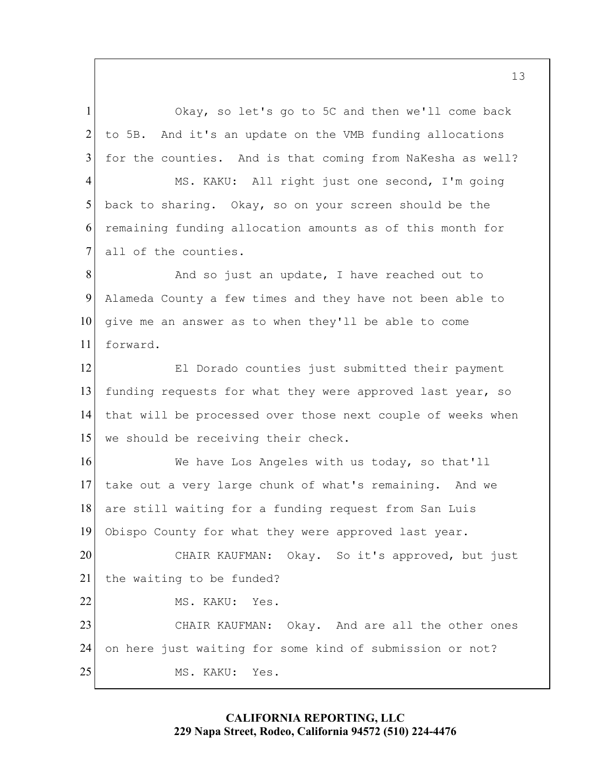Alameda County a few times and they have not been able to that will be processed over those next couple of weeks when 5 10 15 20 1 2 3 4 6 7 8 9 11 12 13 14 16 17 18 19 21 22 Okay, so let's go to 5C and then we'll come back to 5B. And it's an update on the VMB funding allocations for the counties. And is that coming from NaKesha as well? MS. KAKU: All right just one second, I'm going back to sharing. Okay, so on your screen should be the remaining funding allocation amounts as of this month for all of the counties. And so just an update, I have reached out to give me an answer as to when they'll be able to come forward. El Dorado counties just submitted their payment funding requests for what they were approved last year, so we should be receiving their check. We have Los Angeles with us today, so that'll take out a very large chunk of what's remaining. And we are still waiting for a funding request from San Luis Obispo County for what they were approved last year. CHAIR KAUFMAN: Okay. So it's approved, but just the waiting to be funded? MS. KAKU: Yes.

25 23 24 CHAIR KAUFMAN: Okay. And are all the other ones on here just waiting for some kind of submission or not? MS. KAKU: Yes.

## **CALIFORNIA REPORTING, LLC 229 Napa Street, Rodeo, California 94572 (510) 224-4476**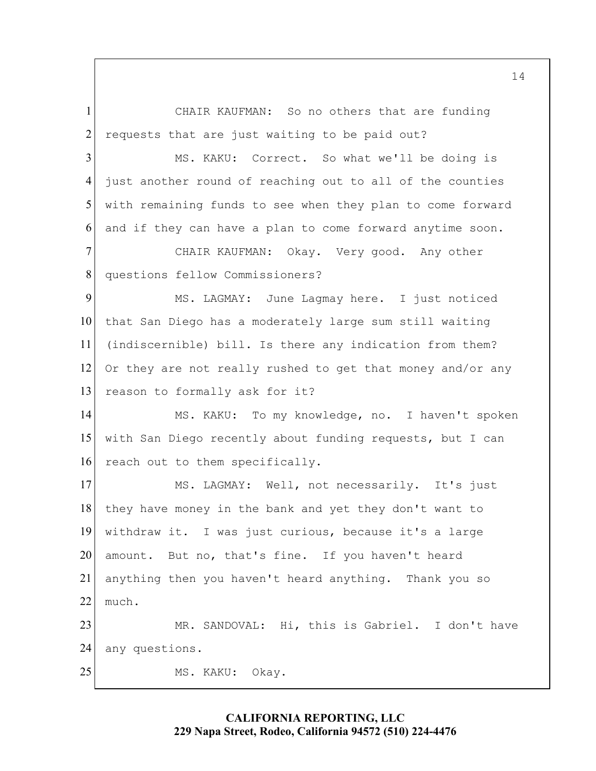1 2 CHAIR KAUFMAN: So no others that are funding requests that are just waiting to be paid out?

5 3 4 6 MS. KAKU: Correct. So what we'll be doing is just another round of reaching out to all of the counties with remaining funds to see when they plan to come forward and if they can have a plan to come forward anytime soon.

7 8 CHAIR KAUFMAN: Okay. Very good. Any other questions fellow Commissioners?

10 9 11 12 13 MS. LAGMAY: June Lagmay here. I just noticed that San Diego has a moderately large sum still waiting (indiscernible) bill. Is there any indication from them? Or they are not really rushed to get that money and/or any reason to formally ask for it?

15 14 16 MS. KAKU: To my knowledge, no. I haven't spoken with San Diego recently about funding requests, but I can reach out to them specifically.

20 17 18 19 21 22 23 24 MS. LAGMAY: Well, not necessarily. It's just they have money in the bank and yet they don't want to withdraw it. I was just curious, because it's a large amount. But no, that's fine. If you haven't heard anything then you haven't heard anything. Thank you so much. MR. SANDOVAL: Hi, this is Gabriel. I don't have any questions.

MS. KAKU: Okay.

25

**CALIFORNIA REPORTING, LLC 229 Napa Street, Rodeo, California 94572 (510) 224-4476**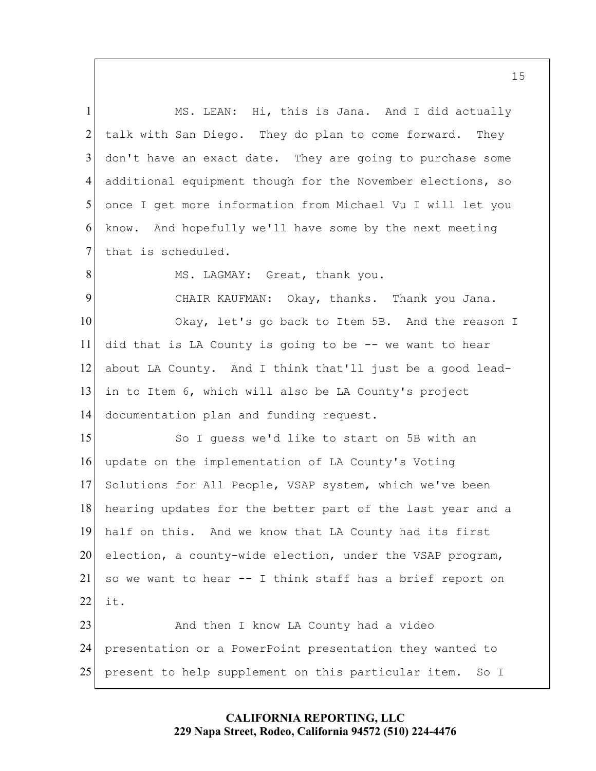don't have an exact date. They are going to purchase some in to Item 6, which will also be LA County's project hearing updates for the better part of the last year and a so we want to hear -- I think staff has a brief report on 5 10 15 20 1 2 3 4 6 7 8 9 11 12 13 14 16 17 18 19 21 22 23 MS. LEAN: Hi, this is Jana. And I did actually talk with San Diego. They do plan to come forward. They additional equipment though for the November elections, so once I get more information from Michael Vu I will let you know. And hopefully we'll have some by the next meeting that is scheduled. MS. LAGMAY: Great, thank you. CHAIR KAUFMAN: Okay, thanks. Thank you Jana. Okay, let's go back to Item 5B. And the reason I did that is LA County is going to be -- we want to hear about LA County. And I think that'll just be a good leaddocumentation plan and funding request. So I guess we'd like to start on 5B with an update on the implementation of LA County's Voting Solutions for All People, VSAP system, which we've been half on this. And we know that LA County had its first election, a county-wide election, under the VSAP program, it. And then I know LA County had a video

25 24 presentation or a PowerPoint presentation they wanted to present to help supplement on this particular item. So I

> **CALIFORNIA REPORTING, LLC 229 Napa Street, Rodeo, California 94572 (510) 224-4476**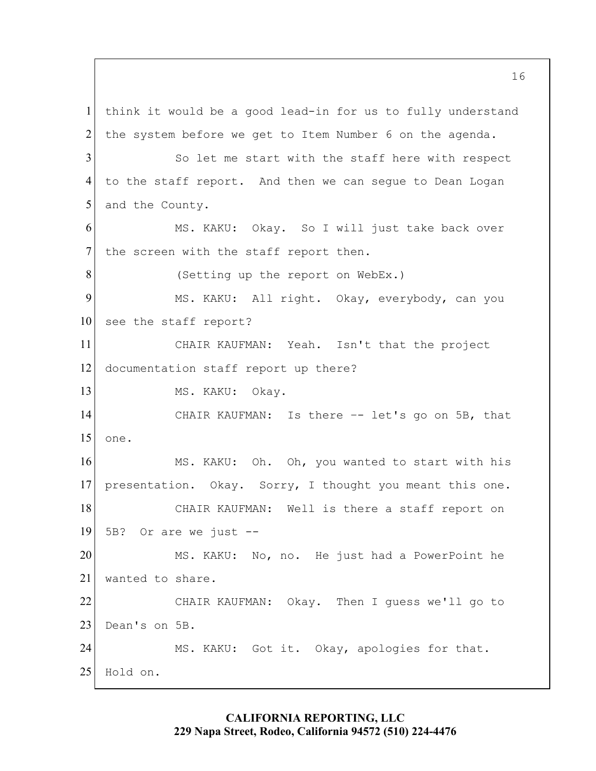5 10 15 20 25 1 2 3 4 6 7 8 9 11 12 13 14 16 17 18 19 21 22 23 24 think it would be a good lead-in for us to fully understand the system before we get to Item Number 6 on the agenda. So let me start with the staff here with respect to the staff report. And then we can segue to Dean Logan and the County. MS. KAKU: Okay. So I will just take back over the screen with the staff report then. (Setting up the report on WebEx.) MS. KAKU: All right. Okay, everybody, can you see the staff report? CHAIR KAUFMAN: Yeah. Isn't that the project documentation staff report up there? MS. KAKU: Okay. CHAIR KAUFMAN: Is there -- let's go on 5B, that one. MS. KAKU: Oh. Oh, you wanted to start with his presentation. Okay. Sorry, I thought you meant this one. CHAIR KAUFMAN: Well is there a staff report on 5B? Or are we just -- MS. KAKU: No, no. He just had a PowerPoint he wanted to share.<br>CHAIR KAUFMAN: Okay. Then I guess we'll go to Dean's on 5B. MS. KAKU: Got it. Okay, apologies for that.<br>Hold on.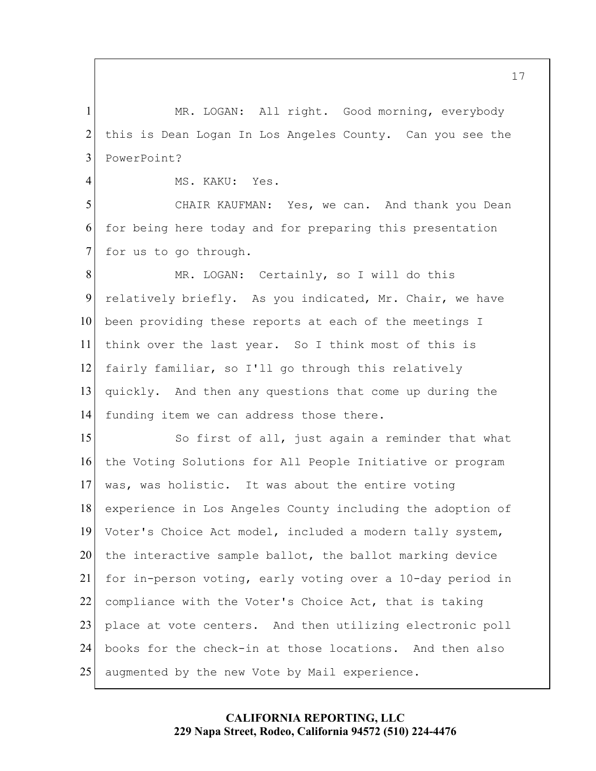1 2 3 MR. LOGAN: All right. Good morning, everybody this is Dean Logan In Los Angeles County. Can you see the PowerPoint?

4

MS. KAKU: Yes.

5 6 7 CHAIR KAUFMAN: Yes, we can. And thank you Dean for being here today and for preparing this presentation for us to go through.

 relatively briefly. As you indicated, Mr. Chair, we have 10 8 9 11 12 13 14 MR. LOGAN: Certainly, so I will do this been providing these reports at each of the meetings I think over the last year. So I think most of this is fairly familiar, so I'll go through this relatively quickly. And then any questions that come up during the funding item we can address those there.

 for in-person voting, early voting over a 10-day period in 15 20 25 16 17 18 19 21 22 23 24 So first of all, just again a reminder that what the Voting Solutions for All People Initiative or program was, was holistic. It was about the entire voting experience in Los Angeles County including the adoption of Voter's Choice Act model, included a modern tally system, the interactive sample ballot, the ballot marking device compliance with the Voter's Choice Act, that is taking place at vote centers. And then utilizing electronic poll books for the check-in at those locations. And then also augmented by the new Vote by Mail experience.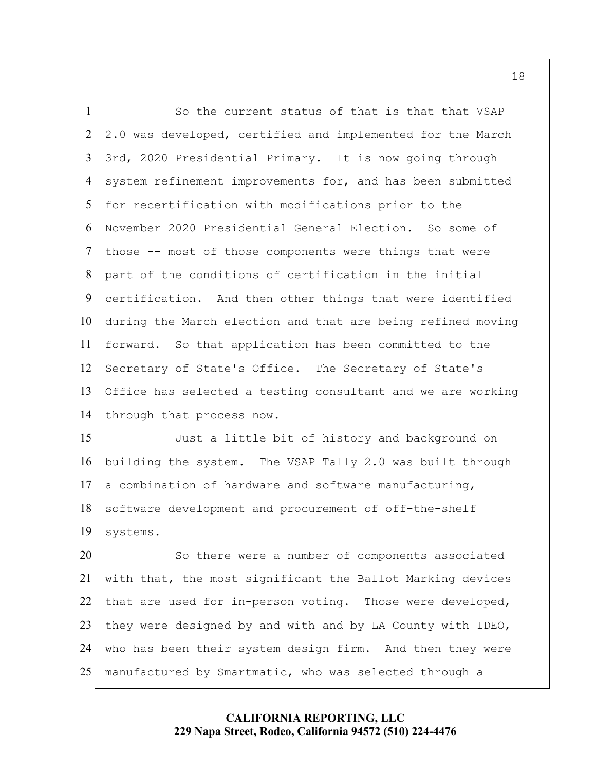system refinement improvements for, and has been submitted those -- most of those components were things that were 5 10 1 2 3 4 6 7 8 9 11 12 13 14 So the current status of that is that that VSAP 2.0 was developed, certified and implemented for the March 3rd, 2020 Presidential Primary. It is now going through for recertification with modifications prior to the November 2020 Presidential General Election. So some of part of the conditions of certification in the initial certification. And then other things that were identified during the March election and that are being refined moving forward. So that application has been committed to the Secretary of State's Office. The Secretary of State's Office has selected a testing consultant and we are working through that process now.

15 16 17 18 19 Just a little bit of history and background on building the system. The VSAP Tally 2.0 was built through a combination of hardware and software manufacturing, software development and procurement of off-the-shelf systems.

20 25 21 22 23 24 So there were a number of components associated with that, the most significant the Ballot Marking devices that are used for in-person voting. Those were developed, they were designed by and with and by LA County with IDEO, who has been their system design firm. And then they were manufactured by Smartmatic, who was selected through a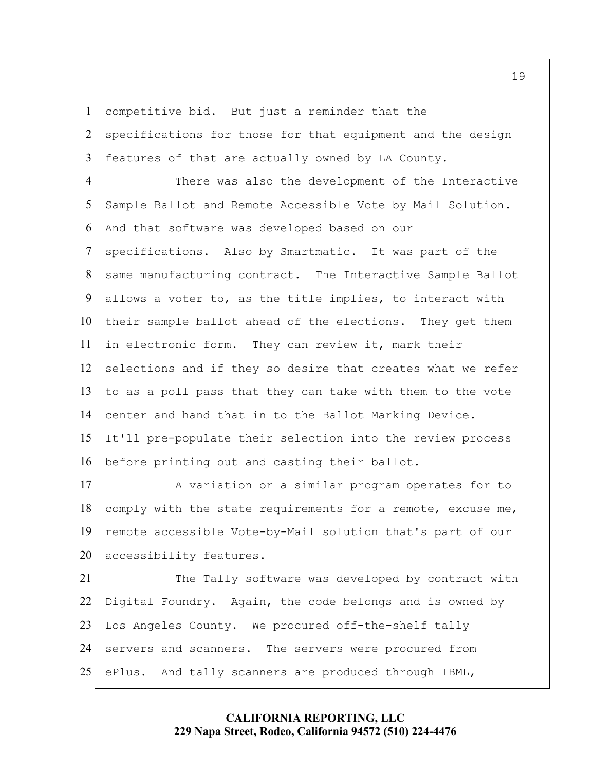competitive bid. But just a reminder that the

1

2 3 specifications for those for that equipment and the design features of that are actually owned by LA County.

5 10 15 4 6 7 8 9 11 12 13 14 16 There was also the development of the Interactive Sample Ballot and Remote Accessible Vote by Mail Solution. And that software was developed based on our specifications. Also by Smartmatic. It was part of the same manufacturing contract. The Interactive Sample Ballot allows a voter to, as the title implies, to interact with their sample ballot ahead of the elections. They get them in electronic form. They can review it, mark their selections and if they so desire that creates what we refer to as a poll pass that they can take with them to the vote center and hand that in to the Ballot Marking Device. It'll pre-populate their selection into the review process before printing out and casting their ballot.

20 17 18 19 A variation or a similar program operates for to comply with the state requirements for a remote, excuse me, remote accessible Vote-by-Mail solution that's part of our accessibility features.

 Digital Foundry. Again, the code belongs and is owned by 25 21 22 23 24 The Tally software was developed by contract with Los Angeles County. We procured off-the-shelf tally servers and scanners. The servers were procured from ePlus. And tally scanners are produced through IBML,

> **CALIFORNIA REPORTING, LLC 229 Napa Street, Rodeo, California 94572 (510) 224-4476**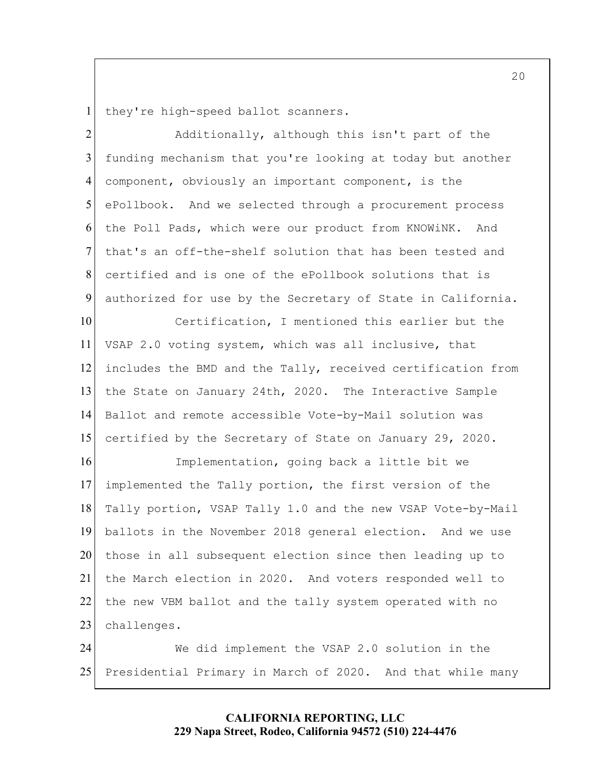1 they're high-speed ballot scanners.

5 2 3 4 6 7 8 9 Additionally, although this isn't part of the funding mechanism that you're looking at today but another component, obviously an important component, is the ePollbook. And we selected through a procurement process the Poll Pads, which were our product from KNOWiNK. And that's an off-the-shelf solution that has been tested and certified and is one of the ePollbook solutions that is authorized for use by the Secretary of State in California.

 certified by the Secretary of State on January 29, 2020. 10 15 11 12 13 14 Certification, I mentioned this earlier but the VSAP 2.0 voting system, which was all inclusive, that includes the BMD and the Tally, received certification from the State on January 24th, 2020. The Interactive Sample Ballot and remote accessible Vote-by-Mail solution was

20 16 17 18 19 21 22 23 Implementation, going back a little bit we implemented the Tally portion, the first version of the Tally portion, VSAP Tally 1.0 and the new VSAP Vote-by-Mail ballots in the November 2018 general election. And we use those in all subsequent election since then leading up to the March election in 2020. And voters responded well to the new VBM ballot and the tally system operated with no challenges.

25 24 We did implement the VSAP 2.0 solution in the Presidential Primary in March of 2020. And that while many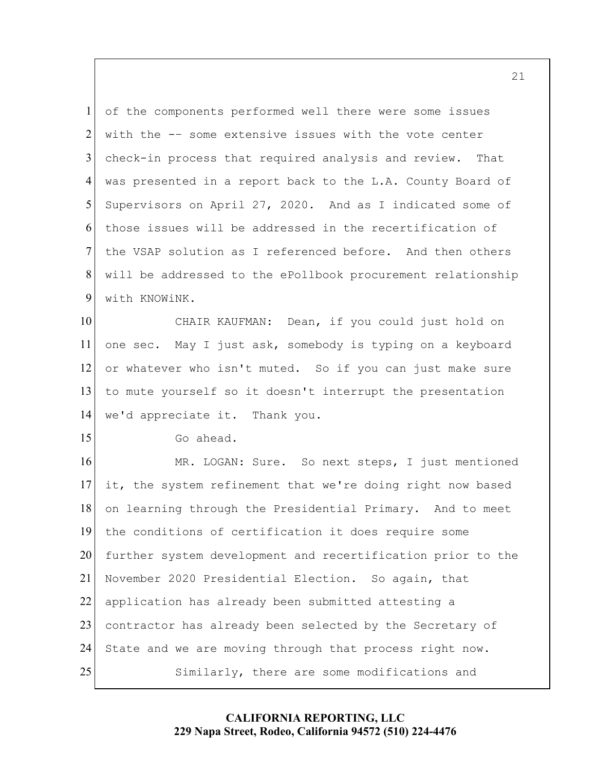with the -– some extensive issues with the vote center 5 1 2 3 4 6 7 8 9 of the components performed well there were some issues check-in process that required analysis and review. That was presented in a report back to the L.A. County Board of Supervisors on April 27, 2020. And as I indicated some of those issues will be addressed in the recertification of the VSAP solution as I referenced before. And then others will be addressed to the ePollbook procurement relationship with KNOWiNK.

CHAIR KAUFMAN: 10 11 12 13 14 Dean, if you could just hold on one sec. May I just ask, somebody is typing on a keyboard or whatever who isn't muted. So if you can just make sure to mute yourself so it doesn't interrupt the presentation we'd appreciate it. Thank you.

15

Go ahead.

20 25 16 17 18 19 21 22 23 24 MR. LOGAN: Sure. So next steps, I just mentioned it, the system refinement that we're doing right now based on learning through the Presidential Primary. And to meet the conditions of certification it does require some further system development and recertification prior to the November 2020 Presidential Election. So again, that application has already been submitted attesting a contractor has already been selected by the Secretary of State and we are moving through that process right now. Similarly, there are some modifications and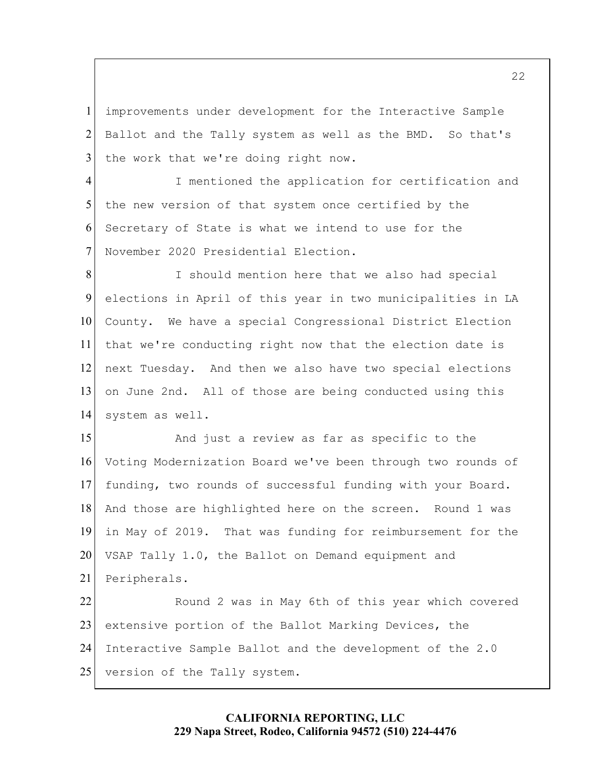1 2 3 improvements under development for the Interactive Sample Ballot and the Tally system as well as the BMD. So that's the work that we're doing right now.

5 4 6 7 I mentioned the application for certification and the new version of that system once certified by the Secretary of State is what we intend to use for the November 2020 Presidential Election.

10 8 9 11 12 13 14 I should mention here that we also had special elections in April of this year in two municipalities in LA County. We have a special Congressional District Election that we're conducting right now that the election date is next Tuesday. And then we also have two special elections on June 2nd. All of those are being conducted using this system as well.

 VSAP Tally 1.0, the Ballot on Demand equipment and 15 20 16 17 18 19 21 22 And just a review as far as specific to the Voting Modernization Board we've been through two rounds of funding, two rounds of successful funding with your Board. And those are highlighted here on the screen. Round 1 was in May of 2019. That was funding for reimbursement for the Peripherals. Round 2 was in May 6th of this year which covered

25 23 24 extensive portion of the Ballot Marking Devices, the Interactive Sample Ballot and the development of the 2.0 version of the Tally system.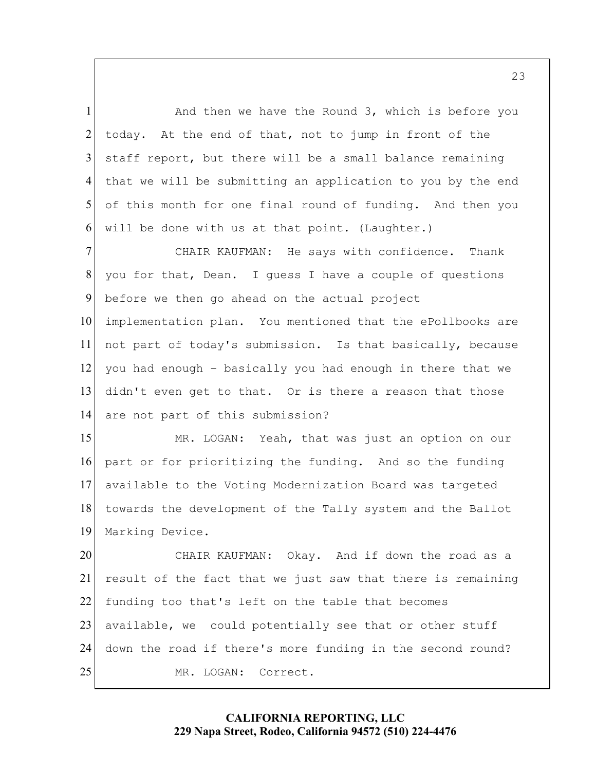And then we have the Round 3, which is before you 5 1 2 3 4 6 today. At the end of that, not to jump in front of the staff report, but there will be a small balance remaining that we will be submitting an application to you by the end of this month for one final round of funding. And then you will be done with us at that point. (Laughter.)

10 7 8 9 11 12 13 14 CHAIR KAUFMAN: He says with confidence. Thank you for that, Dean. I guess I have a couple of questions before we then go ahead on the actual project implementation plan. You mentioned that the ePollbooks are not part of today's submission. Is that basically, because you had enough – basically you had enough in there that we didn't even get to that. Or is there a reason that those are not part of this submission?

 part or for prioritizing the funding. And so the funding 15 16 17 18 19 MR. LOGAN: Yeah, that was just an option on our available to the Voting Modernization Board was targeted towards the development of the Tally system and the Ballot Marking Device.

 CHAIR KAUFMAN: Okay. And if down the road as a 20 25 21 22 23 24 result of the fact that we just saw that there is remaining funding too that's left on the table that becomes available, we could potentially see that or other stuff down the road if there's more funding in the second round? MR. LOGAN: Correct.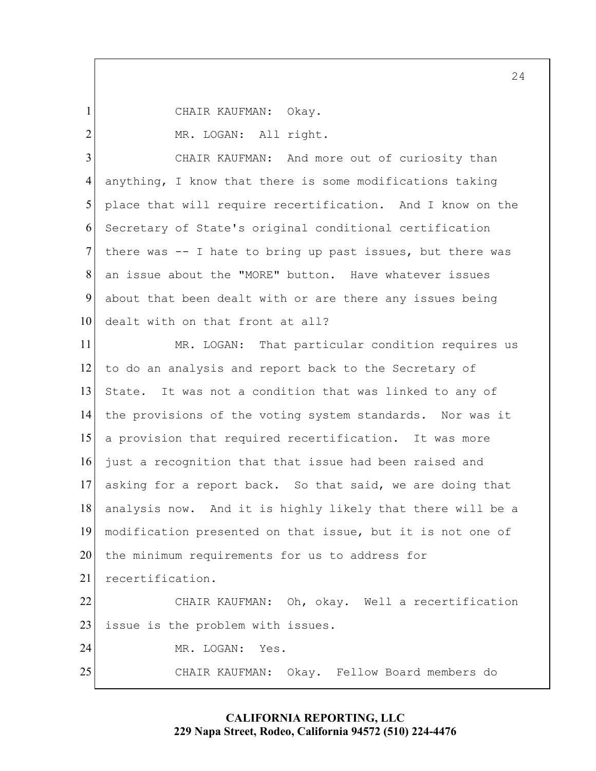CHAIR KAUFMAN: Okay.

1

2

MR. LOGAN: All right.<br>CHAIR KAUFMAN: And more out of curiosity than dealt with on that front at all? 5 10 3 4 6 7 8 9 anything, I know that there is some modifications taking place that will require recertification. And I know on the Secretary of State's original conditional certification there was -- I hate to bring up past issues, but there was an issue about the "MORE" button. Have whatever issues about that been dealt with or are there any issues being

 CHAIR KAUFMAN: Oh, okay. Well a recertification CHAIR KAUFMAN: 15 20 25 11 12 13 14 16 17 18 19 21 22 23 24 MR. LOGAN: That particular condition requires us to do an analysis and report back to the Secretary of State. It was not a condition that was linked to any of the provisions of the voting system standards. Nor was it a provision that required recertification. It was more just a recognition that that issue had been raised and asking for a report back. So that said, we are doing that analysis now. And it is highly likely that there will be a modification presented on that issue, but it is not one of the minimum requirements for us to address for recertification. issue is the problem with issues. MR. LOGAN: Yes. Okay. Fellow Board members do

## **CALIFORNIA REPORTING, LLC 229 Napa Street, Rodeo, California 94572 (510) 224-4476**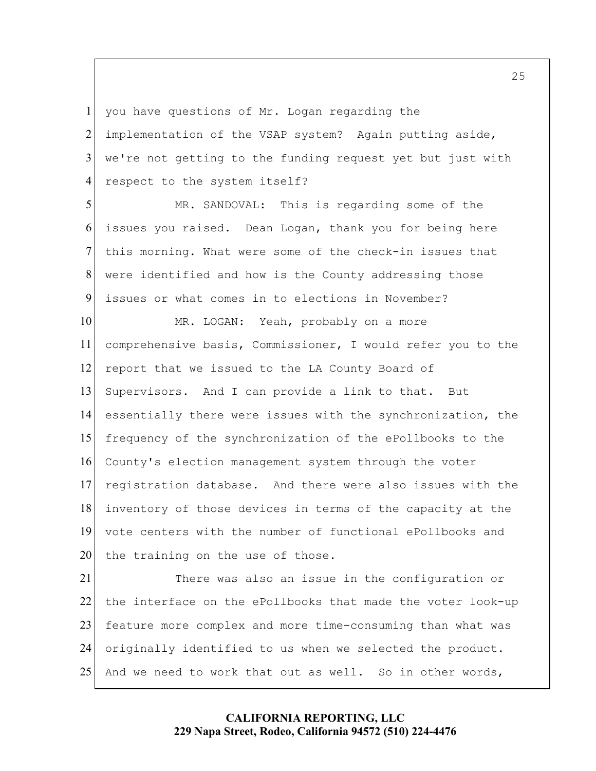we're not getting to the funding request yet but just with 1 2 3 4 you have questions of Mr. Logan regarding the implementation of the VSAP system? Again putting aside, respect to the system itself?

 issues or what comes in to elections in November? 5 6 7 8 9 MR. SANDOVAL: This is regarding some of the issues you raised. Dean Logan, thank you for being here this morning. What were some of the check-in issues that were identified and how is the County addressing those

10 15 20 11 12 13 14 16 17 18 19 MR. LOGAN: Yeah, probably on a more comprehensive basis, Commissioner, I would refer you to the report that we issued to the LA County Board of Supervisors. And I can provide a link to that. But essentially there were issues with the synchronization, the frequency of the synchronization of the ePollbooks to the County's election management system through the voter registration database. And there were also issues with the inventory of those devices in terms of the capacity at the vote centers with the number of functional ePollbooks and the training on the use of those.

25 21 22 23 24 There was also an issue in the configuration or the interface on the ePollbooks that made the voter look-up feature more complex and more time-consuming than what was originally identified to us when we selected the product. And we need to work that out as well. So in other words,

> **CALIFORNIA REPORTING, LLC 229 Napa Street, Rodeo, California 94572 (510) 224-4476**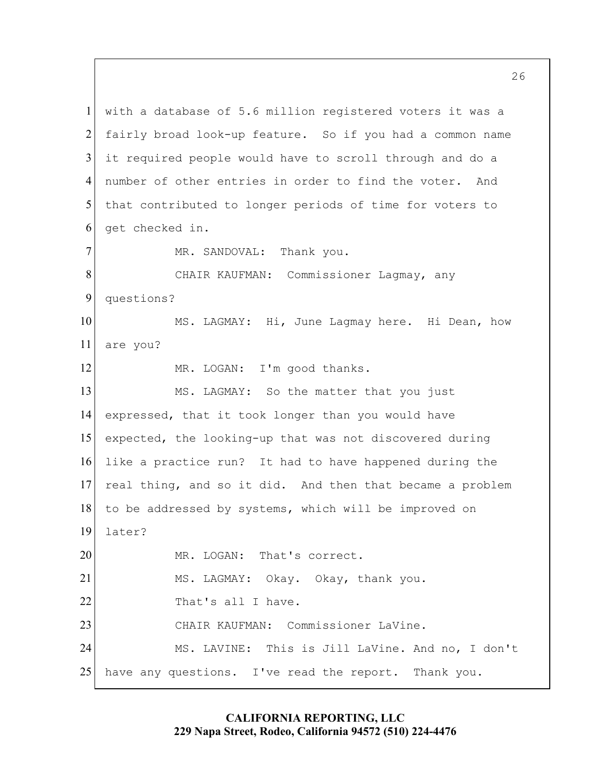number of other entries in order to find the voter. And CHAIR KAUFMAN: Commissioner Lagmay, any MS. LAGMAY: Hi, June Lagmay here. Hi Dean, how to be addressed by systems, which will be improved on CHAIR KAUFMAN: Commissioner LaVine. have any questions. I've read the report. Thank you. 5 10 15 20 25 l 1 2 3 4 6 7 8 9 11 12 13 14 16 17 18 19 21 22 23 24 with a database of 5.6 million registered voters it was a fairly broad look-up feature. So if you had a common name it required people would have to scroll through and do a that contributed to longer periods of time for voters to get checked in. MR. SANDOVAL: Thank you. questions? are you? MR. LOGAN: I'm good thanks. MS. LAGMAY: So the matter that you just expressed, that it took longer than you would have expected, the looking-up that was not discovered during like a practice run? It had to have happened during the real thing, and so it did. And then that became a problem later? MR. LOGAN: That's correct. MS. LAGMAY: Okay. Okay, thank you. That's all I have. MS. LAVINE: This is Jill LaVine. And no, I don't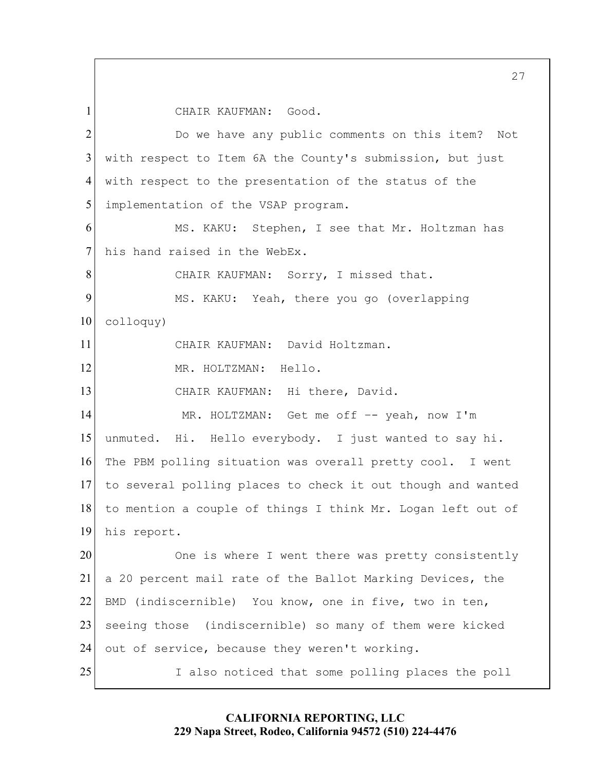CHAIR KAUFMAN: Good.

1

 CHAIR KAUFMAN: Sorry, I missed that. CHAIR KAUFMAN: David Holtzman. CHAIR KAUFMAN: Hi there, David. a 20 percent mail rate of the Ballot Marking Devices, the 5 10 15 20 25 2 3 4 6 7 8 9 11 12 13 14 16 17 18 19 21 22 23 24 Do we have any public comments on this item? Not with respect to Item 6A the County's submission, but just with respect to the presentation of the status of the implementation of the VSAP program. MS. KAKU: Stephen, I see that Mr. Holtzman has his hand raised in the WebEx. MS. KAKU: Yeah, there you go (overlapping colloquy) MR. HOLTZMAN: Hello. MR. HOLTZMAN: Get me off –- yeah, now I'm unmuted. Hi. Hello everybody. I just wanted to say hi. The PBM polling situation was overall pretty cool. I went to several polling places to check it out though and wanted to mention a couple of things I think Mr. Logan left out of his report. One is where I went there was pretty consistently BMD (indiscernible) You know, one in five, two in ten, seeing those (indiscernible) so many of them were kicked out of service, because they weren't working. I also noticed that some polling places the poll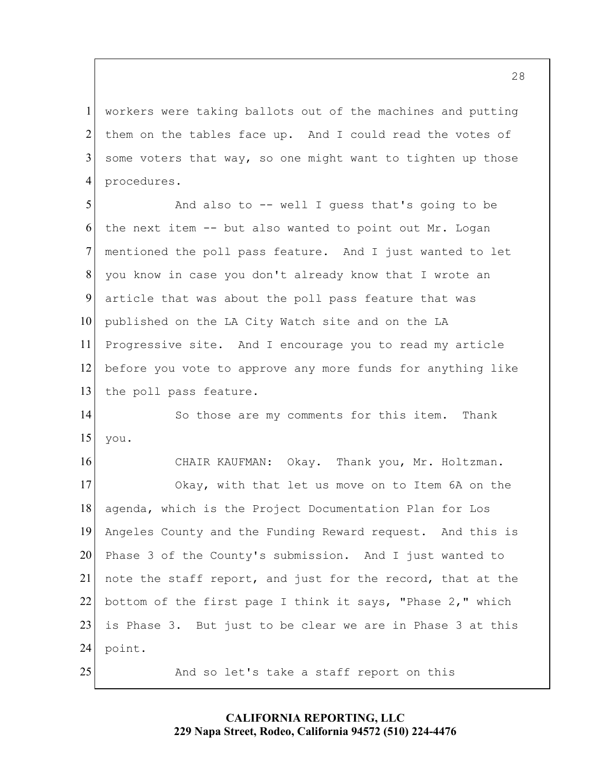1 2 3 4 workers were taking ballots out of the machines and putting them on the tables face up. And I could read the votes of some voters that way, so one might want to tighten up those procedures.

5 10 6 7 8 9 11 12 13 And also to -- well I guess that's going to be the next item -- but also wanted to point out Mr. Logan mentioned the poll pass feature. And I just wanted to let you know in case you don't already know that I wrote an article that was about the poll pass feature that was published on the LA City Watch site and on the LA Progressive site. And I encourage you to read my article before you vote to approve any more funds for anything like the poll pass feature.

15 14 So those are my comments for this item. Thank you.

CHAIR KAUFMAN: 20 25 16 17 18 19 21 22 23 24 Okay. Thank you, Mr. Holtzman. Okay, with that let us move on to Item 6A on the agenda, which is the Project Documentation Plan for Los Angeles County and the Funding Reward request. And this is Phase 3 of the County's submission. And I just wanted to note the staff report, and just for the record, that at the bottom of the first page I think it says, "Phase 2," which is Phase 3. But just to be clear we are in Phase 3 at this point.

And so let's take a staff report on this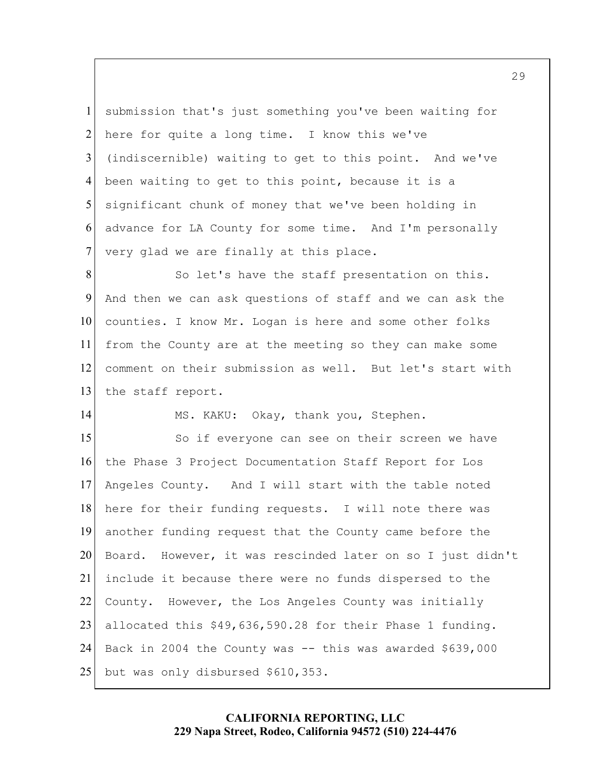5 1 2 3 4 6 7 submission that's just something you've been waiting for here for quite a long time. I know this we've (indiscernible) waiting to get to this point. And we've been waiting to get to this point, because it is a significant chunk of money that we've been holding in advance for LA County for some time. And I'm personally very glad we are finally at this place.

10 8 9 11 12 13 So let's have the staff presentation on this. And then we can ask questions of staff and we can ask the counties. I know Mr. Logan is here and some other folks from the County are at the meeting so they can make some comment on their submission as well. But let's start with the staff report.

MS. KAKU: Okay, thank you, Stephen.

14

 Angeles County. And I will start with the table noted Back in 2004 the County was -- this was awarded \$639,000 15 20 25 16 17 18 19 21 22 23 24 So if everyone can see on their screen we have the Phase 3 Project Documentation Staff Report for Los here for their funding requests. I will note there was another funding request that the County came before the Board. However, it was rescinded later on so I just didn't include it because there were no funds dispersed to the County. However, the Los Angeles County was initially allocated this [\\$49,636,590.28](https://49,636,590.28) for their Phase 1 funding. but was only disbursed \$610,353.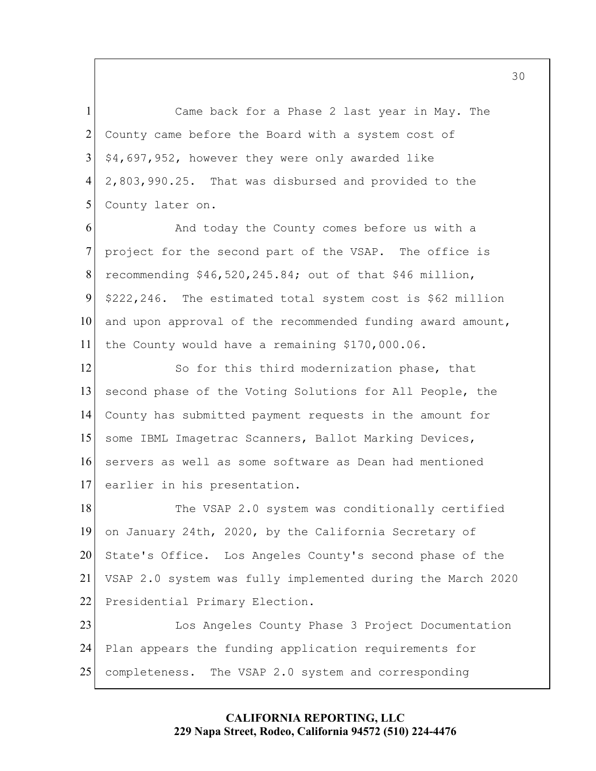5 1 2 3 4 Came back for a Phase 2 last year in May. The County came before the Board with a system cost of \$4,697,952, however they were only awarded like [2,803,990.25](https://2,803,990.25). That was disbursed and provided to the County later on.

10 6 7 8 9 11 And today the County comes before us with a project for the second part of the VSAP. The office is recommending \$[46,520,245.84](https://46,520,245.84); out of that \$46 million, \$222,246. The estimated total system cost is \$62 million and upon approval of the recommended funding award amount, the County would have a remaining [\\$170,000.06](https://170,000.06).

15 12 13 14 16 17 So for this third modernization phase, that second phase of the Voting Solutions for All People, the County has submitted payment requests in the amount for some IBML Imagetrac Scanners, Ballot Marking Devices, servers as well as some software as Dean had mentioned earlier in his presentation.

 on January 24th, 2020, by the California Secretary of 20 18 19 21 22 The VSAP 2.0 system was conditionally certified State's Office. Los Angeles County's second phase of the VSAP 2.0 system was fully implemented during the March 2020 Presidential Primary Election.

25 23 24 Los Angeles County Phase 3 Project Documentation Plan appears the funding application requirements for completeness. The VSAP 2.0 system and corresponding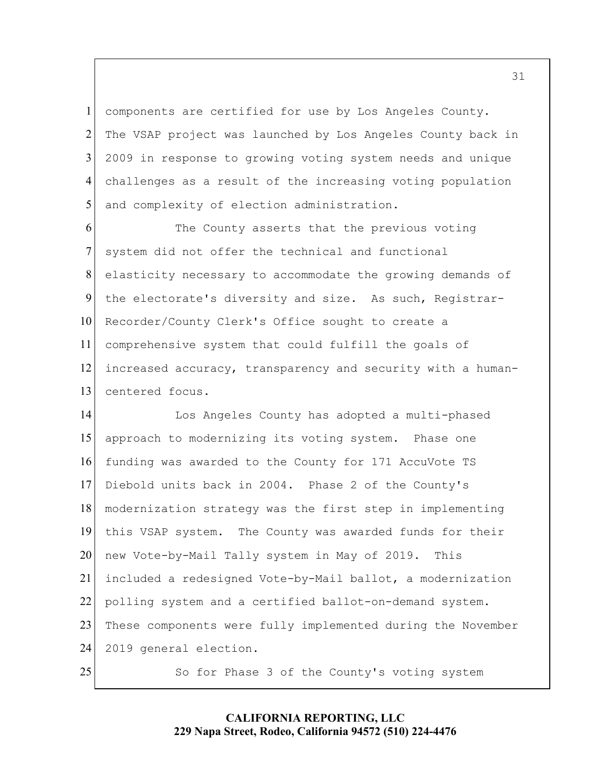5 1 2 3 4 components are certified for use by Los Angeles County. The VSAP project was launched by Los Angeles County back in 2009 in response to growing voting system needs and unique challenges as a result of the increasing voting population and complexity of election administration.

10 6 7 8 9 11 12 13 The County asserts that the previous voting system did not offer the technical and functional elasticity necessary to accommodate the growing demands of the electorate's diversity and size. As such, Registrar-Recorder/County Clerk's Office sought to create a comprehensive system that could fulfill the goals of increased accuracy, transparency and security with a humancentered focus.

 this VSAP system. The County was awarded funds for their 15 20 25 14 16 17 18 19 21 22 23 24 Los Angeles County has adopted a multi-phased approach to modernizing its voting system. Phase one funding was awarded to the County for 171 AccuVote TS Diebold units back in 2004. Phase 2 of the County's modernization strategy was the first step in implementing new Vote-by-Mail Tally system in May of 2019. This included a redesigned Vote-by-Mail ballot, a modernization polling system and a certified ballot-on-demand system. These components were fully implemented during the November 2019 general election. So for Phase 3 of the County's voting system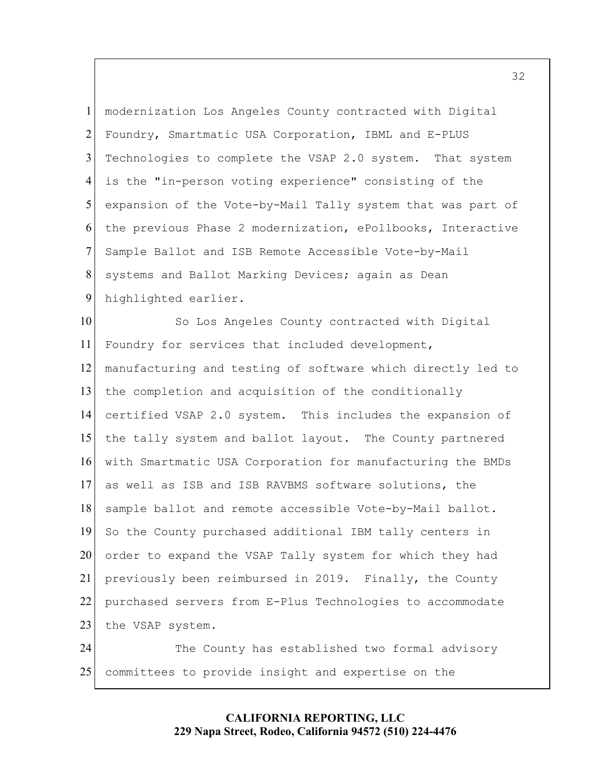5 1 2 3 4 6 7 8 9 modernization Los Angeles County contracted with Digital Foundry, Smartmatic USA Corporation, IBML and E-PLUS Technologies to complete the VSAP 2.0 system. That system is the "in-person voting experience" consisting of the expansion of the Vote-by-Mail Tally system that was part of the previous Phase 2 modernization, ePollbooks, Interactive Sample Ballot and ISB Remote Accessible Vote-by-Mail systems and Ballot Marking Devices; again as Dean highlighted earlier.

10 15 20 11 12 13 14 16 17 18 19 21 22 23 24 So Los Angeles County contracted with Digital Foundry for services that included development, manufacturing and testing of software which directly led to the completion and acquisition of the conditionally certified VSAP 2.0 system. This includes the expansion of the tally system and ballot layout. The County partnered with Smartmatic USA Corporation for manufacturing the BMDs as well as ISB and ISB RAVBMS software solutions, the sample ballot and remote accessible Vote-by-Mail ballot. So the County purchased additional IBM tally centers in order to expand the VSAP Tally system for which they had previously been reimbursed in 2019. Finally, the County purchased servers from E-Plus Technologies to accommodate the VSAP system. The County has established two formal advisory

25 committees to provide insight and expertise on the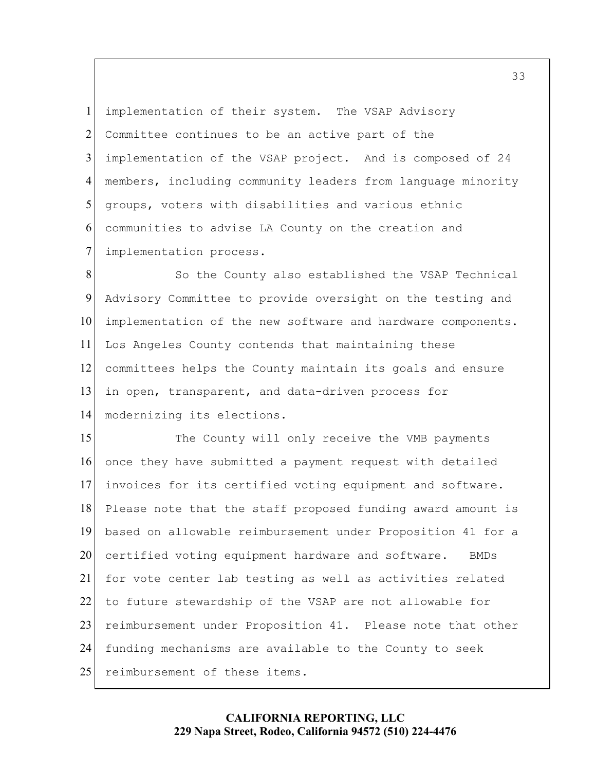5 1 2 3 4 6 7 implementation of their system. The VSAP Advisory Committee continues to be an active part of the implementation of the VSAP project. And is composed of 24 members, including community leaders from language minority groups, voters with disabilities and various ethnic communities to advise LA County on the creation and implementation process.

10 8 9 11 12 13 14 So the County also established the VSAP Technical Advisory Committee to provide oversight on the testing and implementation of the new software and hardware components. Los Angeles County contends that maintaining these committees helps the County maintain its goals and ensure in open, transparent, and data-driven process for modernizing its elections.

 The County will only receive the VMB payments to future stewardship of the VSAP are not allowable for 15 20 25 16 17 18 19 21 22 23 24 once they have submitted a payment request with detailed invoices for its certified voting equipment and software. Please note that the staff proposed funding award amount is based on allowable reimbursement under Proposition 41 for a certified voting equipment hardware and software. BMDs for vote center lab testing as well as activities related reimbursement under Proposition 41. Please note that other funding mechanisms are available to the County to seek reimbursement of these items.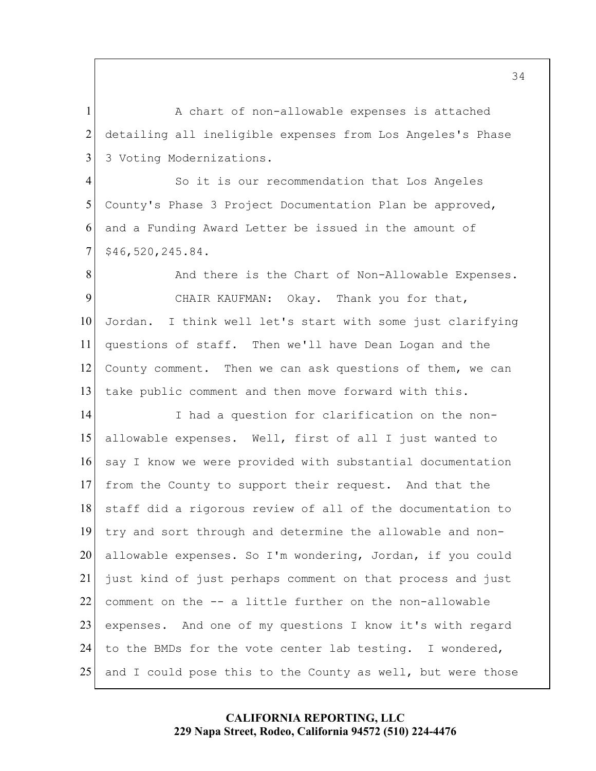1 2 3 A chart of non-allowable expenses is attached detailing all ineligible expenses from Los Angeles's Phase 3 Voting Modernizations.

5 4 6 7 So it is our recommendation that Los Angeles County's Phase 3 Project Documentation Plan be approved, and a Funding Award Letter be issued in the amount of [\\$46,520,245.84.](https://46,520,245.84)

 CHAIR KAUFMAN: Okay. Thank you for that, questions of staff. Then we'll have Dean Logan and the County comment. Then we can ask questions of them, we can 10 8 9 11 12 13 And there is the Chart of Non-Allowable Expenses. Jordan. I think well let's start with some just clarifying take public comment and then move forward with this.

 from the County to support their request. And that the 15 20 25 14 16 17 18 19 21 22 23 24 I had a question for clarification on the nonallowable expenses. Well, first of all I just wanted to say I know we were provided with substantial documentation staff did a rigorous review of all of the documentation to try and sort through and determine the allowable and nonallowable expenses. So I'm wondering, Jordan, if you could just kind of just perhaps comment on that process and just comment on the -- a little further on the non-allowable expenses. And one of my questions I know it's with regard to the BMDs for the vote center lab testing. I wondered, and I could pose this to the County as well, but were those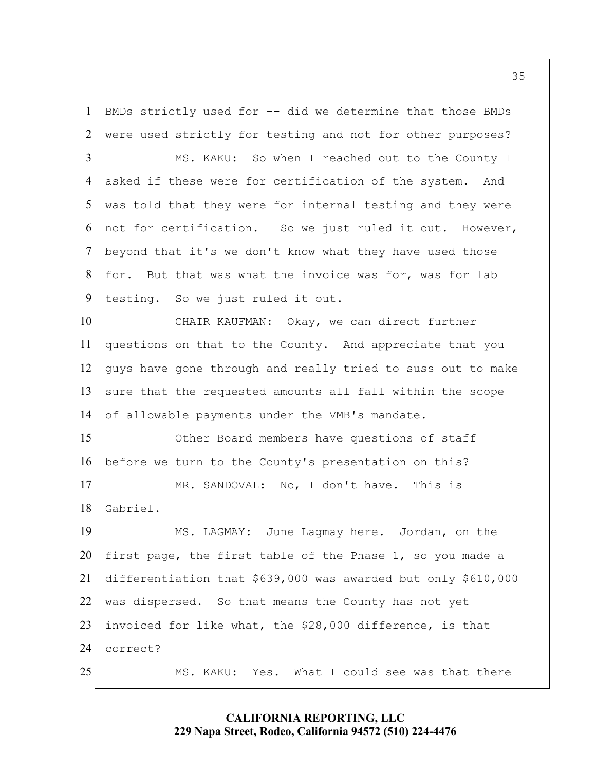1 2 BMDs strictly used for –- did we determine that those BMDs were used strictly for testing and not for other purposes?

 MS. KAKU: So when I reached out to the County I testing. So we just ruled it out. 5 3 4 6 7 8 9 asked if these were for certification of the system. And was told that they were for internal testing and they were not for certification. So we just ruled it out. However, beyond that it's we don't know what they have used those for. But that was what the invoice was for, was for lab

CHAIR KAUFMAN: of allowable payments under the VMB's mandate. 10 11 12 13 14 Okay, we can direct further questions on that to the County. And appreciate that you guys have gone through and really tried to suss out to make sure that the requested amounts all fall within the scope

15 16 Other Board members have questions of staff before we turn to the County's presentation on this?

17 18 MR. SANDOVAL: No, I don't have. This is Gabriel.

 first page, the first table of the Phase 1, so you made a 20 25 19 21 22 23 24 MS. LAGMAY: June Lagmay here. Jordan, on the differentiation that \$639,000 was awarded but only \$610,000 was dispersed. So that means the County has not yet invoiced for like what, the \$28,000 difference, is that correct?

MS. KAKU: Yes. What I could see was that there

# **CALIFORNIA REPORTING, LLC 229 Napa Street, Rodeo, California 94572 (510) 224-4476**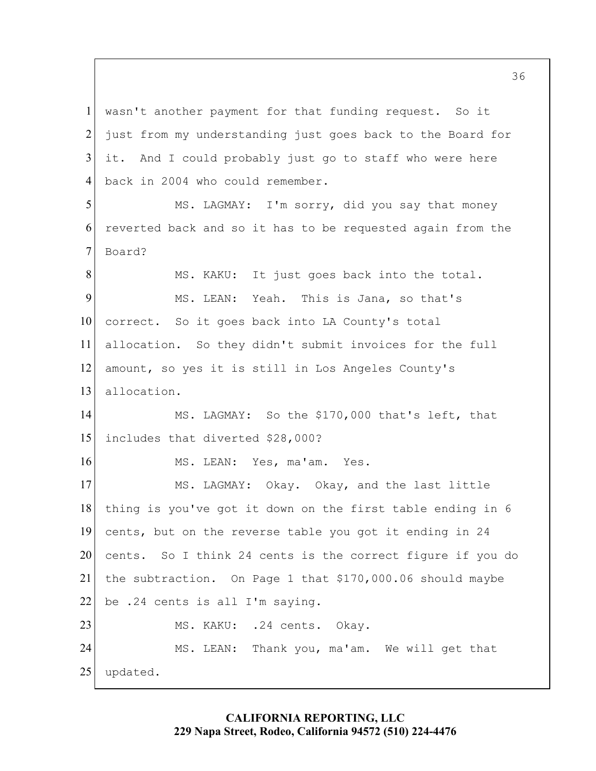Board? allocation. So they didn't submit invoices for the full includes that diverted \$28,000? 5 10 15 20 25 1 2 3 4 6 7 8 9 11 12 13 14 16 17 18 19 21 22 23 24 wasn't another payment for that funding request. So it just from my understanding just goes back to the Board for it. And I could probably just go to staff who were here back in 2004 who could remember. MS. LAGMAY: I'm sorry, did you say that money reverted back and so it has to be requested again from the MS. KAKU: It just goes back into the total. MS. LEAN: Yeah. This is Jana, so that's correct. So it goes back into LA County's total amount, so yes it is still in Los Angeles County's allocation. MS. LAGMAY: So the \$170,000 that's left, that MS. LEAN: Yes, ma'am. Yes. MS. LAGMAY: Okay. Okay, and the last little thing is you've got it down on the first table ending in 6 cents, but on the reverse table you got it ending in 24 cents. So I think 24 cents is the correct figure if you do the subtraction. On Page 1 that \$[170,000.06](https://170,000.06) should maybe be .24 cents is all I'm saying. MS. KAKU: .24 cents. Okay. MS. LEAN: Thank you, ma'am. We will get that updated.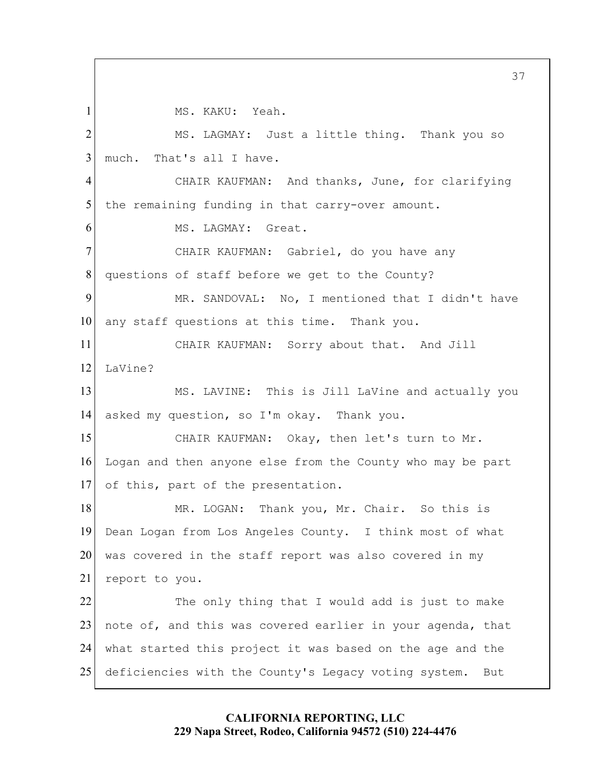MS. KAKU: Yeah.

1

 CHAIR KAUFMAN: And thanks, June, for clarifying CHAIR KAUFMAN: Gabriel, do you have any CHAIR KAUFMAN: Sorry about that. And Jill CHAIR KAUFMAN: Okay, then let's turn to Mr. 5 10 15 20 25 2 3 4 6 7 8 9 11 12 13 14 16 17 18 19 21 22 23 24 MS. LAGMAY: Just a little thing. Thank you so much. That's all I have. the remaining funding in that carry-over amount. MS. LAGMAY: Great. questions of staff before we get to the County? MR. SANDOVAL: No, I mentioned that I didn't have any staff questions at this time. Thank you. LaVine? MS. LAVINE: This is Jill LaVine and actually you asked my question, so I'm okay. Thank you. Logan and then anyone else from the County who may be part of this, part of the presentation. MR. LOGAN: Thank you, Mr. Chair. So this is Dean Logan from Los Angeles County. I think most of what was covered in the staff report was also covered in my report to you. The only thing that I would add is just to make note of, and this was covered earlier in your agenda, that what started this project it was based on the age and the deficiencies with the County's Legacy voting system. But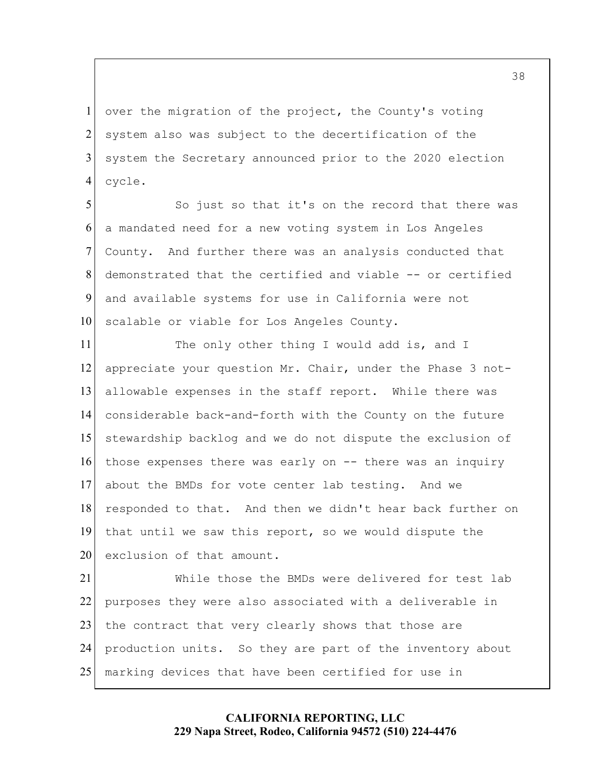1 2 3 4 over the migration of the project, the County's voting system also was subject to the decertification of the system the Secretary announced prior to the 2020 election cycle.

5 10 6 7 8 9 So just so that it's on the record that there was a mandated need for a new voting system in Los Angeles County. And further there was an analysis conducted that demonstrated that the certified and viable -- or certified and available systems for use in California were not scalable or viable for Los Angeles County.

 those expenses there was early on -- there was an inquiry 15 20 11 12 13 14 16 17 18 19 The only other thing I would add is, and I appreciate your question Mr. Chair, under the Phase 3 notallowable expenses in the staff report. While there was considerable back-and-forth with the County on the future stewardship backlog and we do not dispute the exclusion of about the BMDs for vote center lab testing. And we responded to that. And then we didn't hear back further on that until we saw this report, so we would dispute the exclusion of that amount.

25 21 22 23 24 While those the BMDs were delivered for test lab purposes they were also associated with a deliverable in the contract that very clearly shows that those are production units. So they are part of the inventory about marking devices that have been certified for use in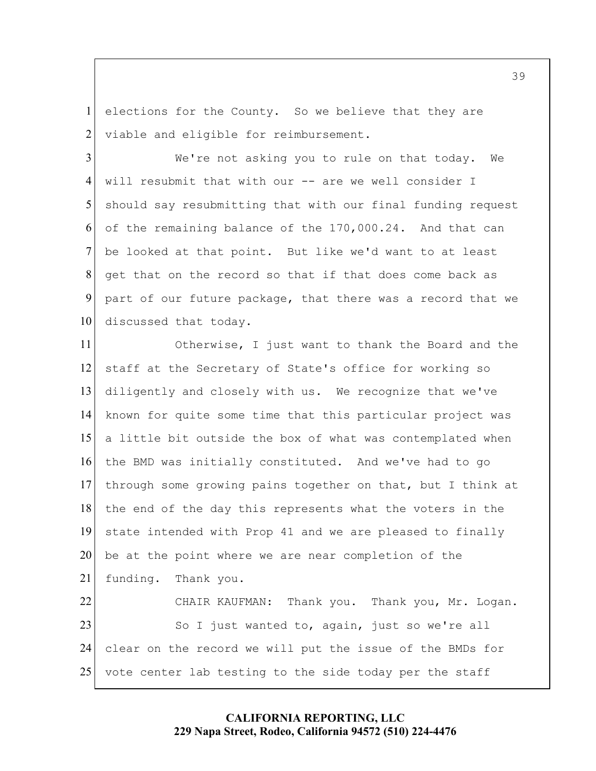1 2 elections for the County. So we believe that they are viable and eligible for reimbursement.

5 10 3 4 6 7 8 9 We're not asking you to rule on that today. We will resubmit that with our -- are we well consider I should say resubmitting that with our final funding request of the remaining balance of the [170,000.24](https://170,000.24). And that can be looked at that point. But like we'd want to at least get that on the record so that if that does come back as part of our future package, that there was a record that we discussed that today.

CHAIR KAUFMAN: 15 20 25 11 12 13 14 16 17 18 19 21 22 23 24 Otherwise, I just want to thank the Board and the staff at the Secretary of State's office for working so diligently and closely with us. We recognize that we've known for quite some time that this particular project was a little bit outside the box of what was contemplated when the BMD was initially constituted. And we've had to go through some growing pains together on that, but I think at the end of the day this represents what the voters in the state intended with Prop 41 and we are pleased to finally be at the point where we are near completion of the funding. Thank you.<br>CHAIR KAUFMAN: Thank you. Thank you, Mr. Logan. So I just wanted to, again, just so we're all clear on the record we will put the issue of the BMDs for vote center lab testing to the side today per the staff

## **CALIFORNIA REPORTING, LLC 229 Napa Street, Rodeo, California 94572 (510) 224-4476**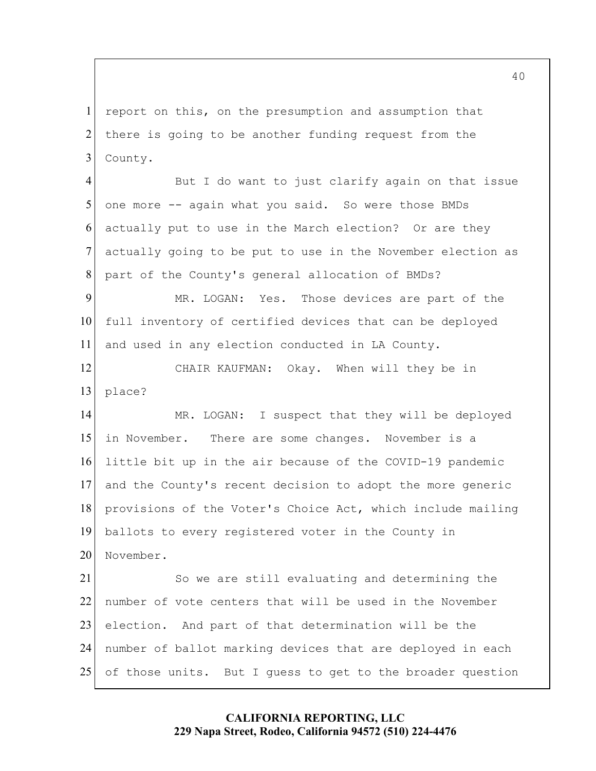1 2 3 report on this, on the presumption and assumption that there is going to be another funding request from the County.

5 4 6 7 8 But I do want to just clarify again on that issue one more -- again what you said. So were those BMDs actually put to use in the March election? Or are they actually going to be put to use in the November election as part of the County's general allocation of BMDs?

10 9 11 MR. LOGAN: Yes. Those devices are part of the full inventory of certified devices that can be deployed and used in any election conducted in LA County.

 CHAIR KAUFMAN: Okay. When will they be in 12 13 place?

 in November. There are some changes. November is a 15 20 14 16 17 18 19 21 MR. LOGAN: I suspect that they will be deployed little bit up in the air because of the COVID-19 pandemic and the County's recent decision to adopt the more generic provisions of the Voter's Choice Act, which include mailing ballots to every registered voter in the County in November. So we are still evaluating and determining the

25 22 23 24 number of vote centers that will be used in the November election. And part of that determination will be the number of ballot marking devices that are deployed in each of those units. But I guess to get to the broader question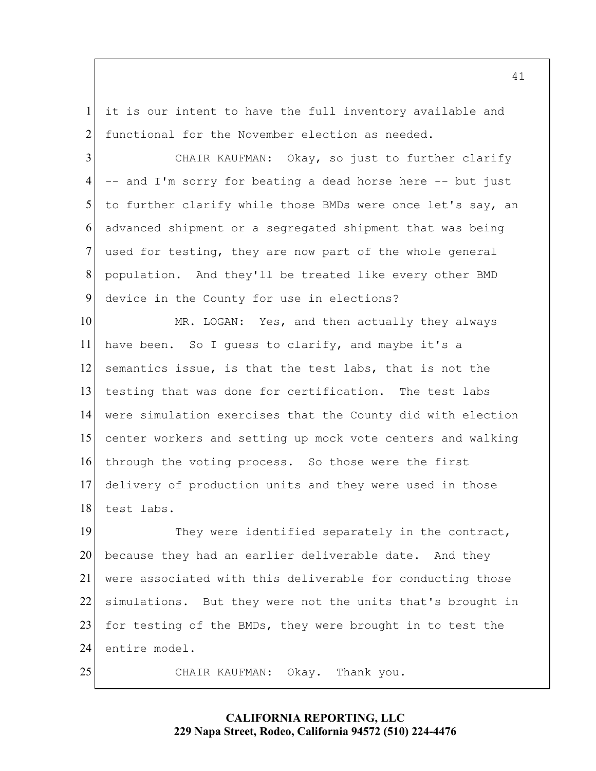1 2 it is our intent to have the full inventory available and functional for the November election as needed.

 CHAIR KAUFMAN: Okay, so just to further clarify -- and I'm sorry for beating a dead horse here -- but just used for testing, they are now part of the whole general 5 3 4 6 7 8 9 to further clarify while those BMDs were once let's say, an advanced shipment or a segregated shipment that was being population. And they'll be treated like every other BMD device in the County for use in elections?

 semantics issue, is that the test labs, that is not the testing that was done for certification. The test labs 10 15 11 12 13 14 16 17 18 MR. LOGAN: Yes, and then actually they always have been. So I guess to clarify, and maybe it's a were simulation exercises that the County did with election center workers and setting up mock vote centers and walking through the voting process. So those were the first delivery of production units and they were used in those test labs.

20 19 21 22 23 24 They were identified separately in the contract, because they had an earlier deliverable date. And they were associated with this deliverable for conducting those simulations. But they were not the units that's brought in for testing of the BMDs, they were brought in to test the entire model.

CHAIR KAUFMAN: Okay. Thank you.

25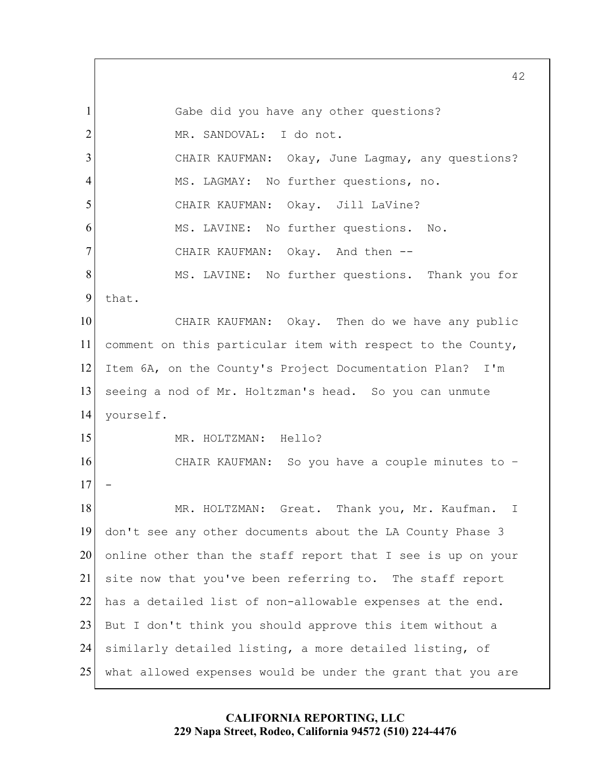CHAIR KAUFMAN: Okay, June Lagmay, any questions? CHAIR KAUFMAN: CHAIR KAUFMAN: CHAIR KAUFMAN: CHAIR KAUFMAN: So you have a couple minutes to – MR. HOLTZMAN: Great. Thank you, Mr. Kaufman. I 5 10 15 20 25 1 2 3 4 6 7 8 9 11 12 13 14 16 17 18 19 21 22 23 24 Gabe did you have any other questions? MR. SANDOVAL: I do not. MS. LAGMAY: No further questions, no. Okay. Jill LaVine? MS. LAVINE: No further questions. No. Okay. And then --MS. LAVINE: No further questions. Thank you for that. Okay. Then do we have any public comment on this particular item with respect to the County, Item 6A, on the County's Project Documentation Plan? I'm seeing a nod of Mr. Holtzman's head. So you can unmute yourself. MR. HOLTZMAN: Hello? don't see any other documents about the LA County Phase 3 online other than the staff report that I see is up on your site now that you've been referring to. The staff report has a detailed list of non-allowable expenses at the end. But I don't think you should approve this item without a similarly detailed listing, a more detailed listing, of what allowed expenses would be under the grant that you are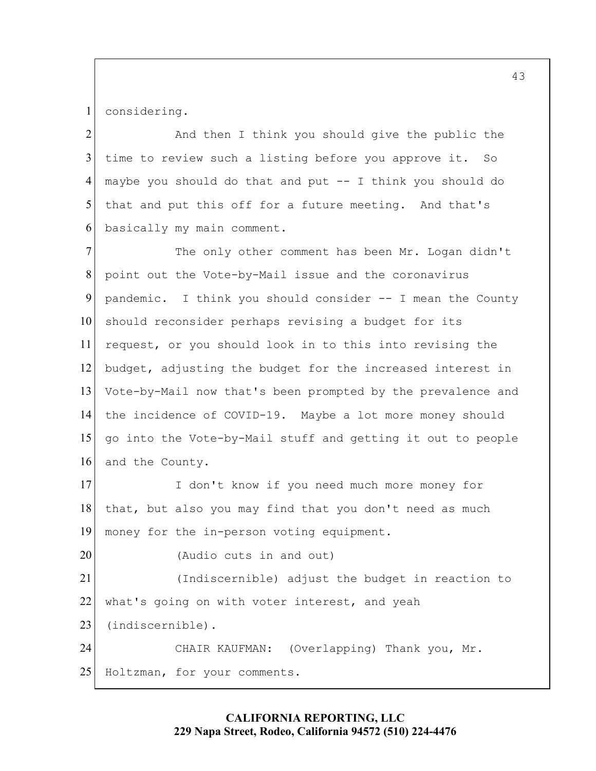1 considering.

 that and put this off for a future meeting. And that's 5 2 3 4 6 And then I think you should give the public the time to review such a listing before you approve it. So maybe you should do that and put -- I think you should do basically my main comment.

 request, or you should look in to this into revising the 10 15 7 8 9 11 12 13 14 16 The only other comment has been Mr. Logan didn't point out the Vote-by-Mail issue and the coronavirus pandemic. I think you should consider -- I mean the County should reconsider perhaps revising a budget for its budget, adjusting the budget for the increased interest in Vote-by-Mail now that's been prompted by the prevalence and the incidence of COVID-19. Maybe a lot more money should go into the Vote-by-Mail stuff and getting it out to people and the County.

17 18 19 I don't know if you need much more money for that, but also you may find that you don't need as much money for the in-person voting equipment.

(Audio cuts in and out)

20

25 21 22 23 24 (Indiscernible) adjust the budget in reaction to what's going on with voter interest, and yeah (indiscernible). CHAIR KAUFMAN: (Overlapping) Thank you, Mr. Holtzman, for your comments.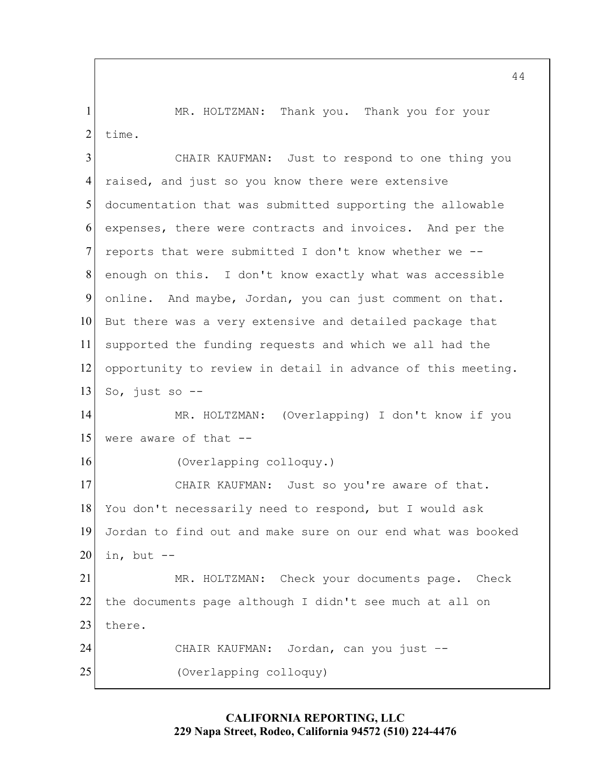MR. HOLTZMAN: Thank you. Thank you for your 1 2 time.

 online. And maybe, Jordan, you can just comment on that. 5 10 15 20 25 3 4 6 7 8 9 11 12 13 14 16 17 18 19 21 22 23 24 CHAIR KAUFMAN: Just to respond to one thing you raised, and just so you know there were extensive documentation that was submitted supporting the allowable expenses, there were contracts and invoices. And per the reports that were submitted I don't know whether we - enough on this. I don't know exactly what was accessible But there was a very extensive and detailed package that supported the funding requests and which we all had the opportunity to review in detail in advance of this meeting. So, just so -- MR. HOLTZMAN: (Overlapping) I don't know if you were aware of that -- (Overlapping colloquy.) CHAIR KAUFMAN: Just so you're aware of that. You don't necessarily need to respond, but I would ask Jordan to find out and make sure on our end what was booked in, but -- MR. HOLTZMAN: Check your documents page. Check the documents page although I didn't see much at all on there. CHAIR KAUFMAN: Jordan, can you just –- (Overlapping colloquy)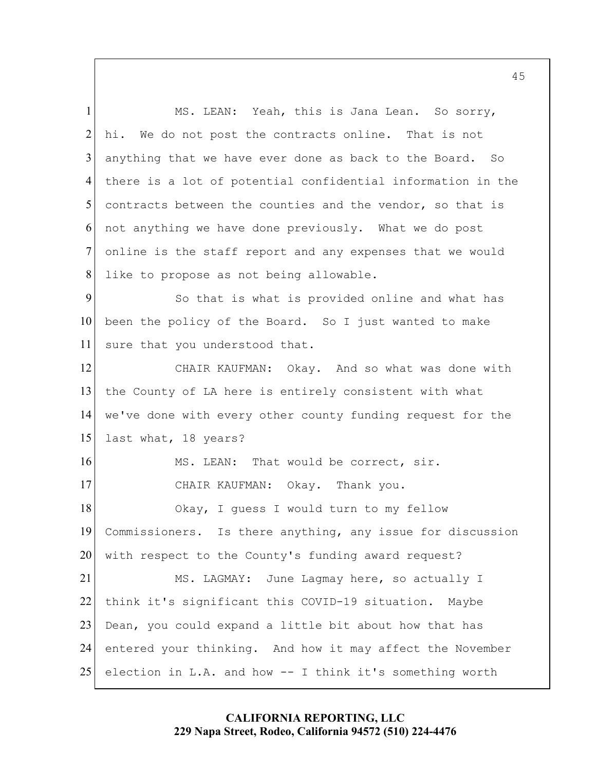online is the staff report and any expenses that we would been the policy of the Board. So I just wanted to make the County of LA here is entirely consistent with what MS. LEAN: That would be correct, sir. 5 10 15 20 25 1 2 3 4 6 7 8 9 11 12 13 14 16 17 18 19 21 22 23 24 MS. LEAN: Yeah, this is Jana Lean. So sorry, hi. We do not post the contracts online. That is not anything that we have ever done as back to the Board. So there is a lot of potential confidential information in the contracts between the counties and the vendor, so that is not anything we have done previously. What we do post like to propose as not being allowable. So that is what is provided online and what has sure that you understood that. CHAIR KAUFMAN: Okay. And so what was done with we've done with every other county funding request for the last what, 18 years? CHAIR KAUFMAN: Okay. Thank you. Okay, I guess I would turn to my fellow Commissioners. Is there anything, any issue for discussion with respect to the County's funding award request? MS. LAGMAY: June Lagmay here, so actually I think it's significant this COVID-19 situation. Maybe Dean, you could expand a little bit about how that has entered your thinking. And how it may affect the November election in L.A. and how -- I think it's something worth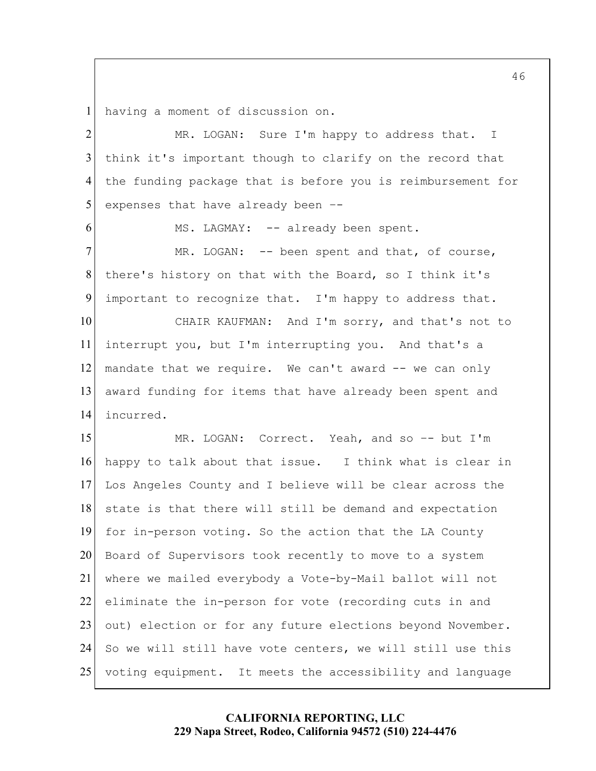1 having a moment of discussion on.

5 10 15 20 25 2 3 4 6 7 8 9 11 12 13 14 16 17 18 19 21 22 23 24 MR. LOGAN: Sure I'm happy to address that. I think it's important though to clarify on the record that the funding package that is before you is reimbursement for expenses that have already been –- MS. LAGMAY: -- already been spent. MR. LOGAN: -- been spent and that, of course, there's history on that with the Board, so I think it's important to recognize that. I'm happy to address that. CHAIR KAUFMAN: And I'm sorry, and that's not to interrupt you, but I'm interrupting you. And that's a mandate that we require. We can't award -- we can only award funding for items that have already been spent and incurred. MR. LOGAN: Correct. Yeah, and so –- but I'm happy to talk about that issue. I think what is clear in Los Angeles County and I believe will be clear across the state is that there will still be demand and expectation for in-person voting. So the action that the LA County Board of Supervisors took recently to move to a system where we mailed everybody a Vote-by-Mail ballot will not eliminate the in-person for vote (recording cuts in and out) election or for any future elections beyond November. So we will still have vote centers, we will still use this voting equipment. It meets the accessibility and language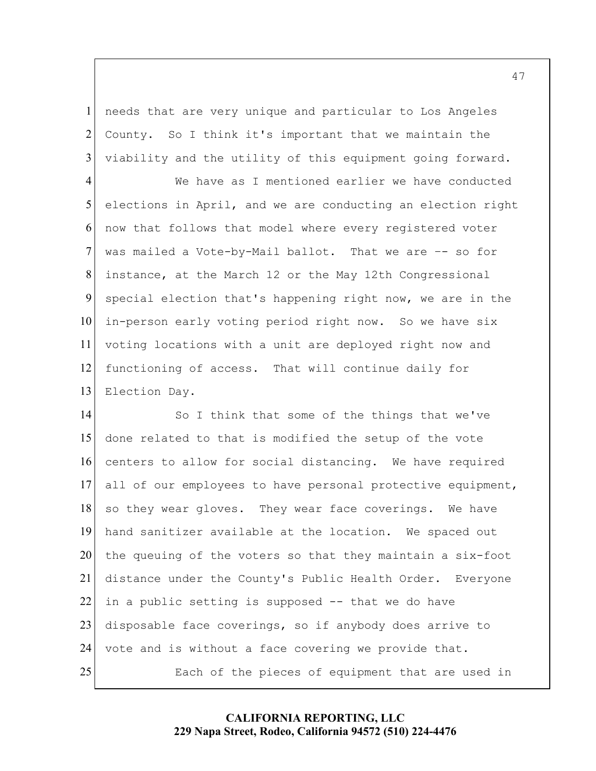1 2 3 needs that are very unique and particular to Los Angeles County. So I think it's important that we maintain the viability and the utility of this equipment going forward.

5 10 4 6 7 8 9 11 12 13 We have as I mentioned earlier we have conducted elections in April, and we are conducting an election right now that follows that model where every registered voter was mailed a Vote-by-Mail ballot. That we are -- so for instance, at the March 12 or the May 12th Congressional special election that's happening right now, we are in the in-person early voting period right now. So we have six voting locations with a unit are deployed right now and functioning of access. That will continue daily for Election Day.

 in a public setting is supposed -- that we do have 15 20 25 14 16 17 18 19 21 22 23 24 So I think that some of the things that we've done related to that is modified the setup of the vote centers to allow for social distancing. We have required all of our employees to have personal protective equipment, so they wear gloves. They wear face coverings. We have hand sanitizer available at the location. We spaced out the queuing of the voters so that they maintain a six-foot distance under the County's Public Health Order. Everyone disposable face coverings, so if anybody does arrive to vote and is without a face covering we provide that. Each of the pieces of equipment that are used in

## **CALIFORNIA REPORTING, LLC 229 Napa Street, Rodeo, California 94572 (510) 224-4476**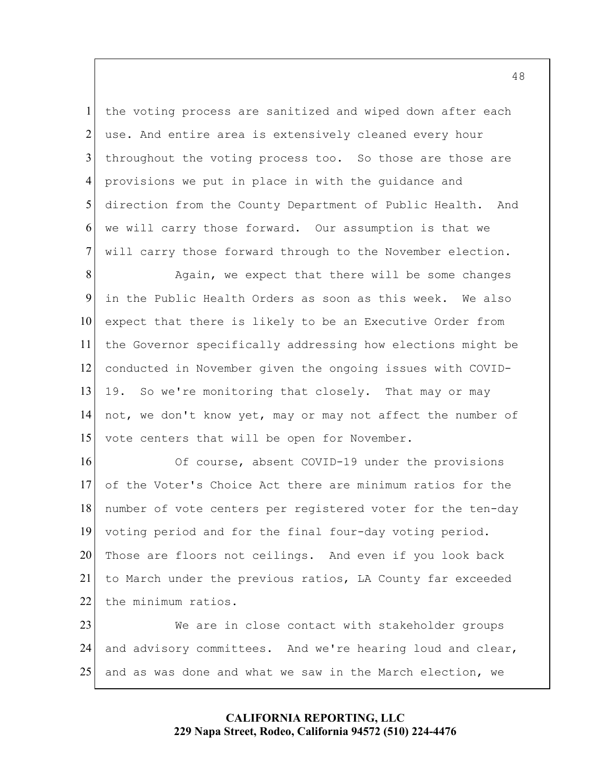we will carry those forward. Our assumption is that we 5 1 2 3 4 6 7 the voting process are sanitized and wiped down after each use. And entire area is extensively cleaned every hour throughout the voting process too. So those are those are provisions we put in place in with the guidance and direction from the County Department of Public Health. And will carry those forward through to the November election.

10 15 8 9 11 12 13 14 Again, we expect that there will be some changes in the Public Health Orders as soon as this week. We also expect that there is likely to be an Executive Order from the Governor specifically addressing how elections might be conducted in November given the ongoing issues with COVID-19. So we're monitoring that closely. That may or may not, we don't know yet, may or may not affect the number of vote centers that will be open for November.

20 16 17 18 19 21 22 Of course, absent COVID-19 under the provisions of the Voter's Choice Act there are minimum ratios for the number of vote centers per registered voter for the ten-day voting period and for the final four-day voting period. Those are floors not ceilings. And even if you look back to March under the previous ratios, LA County far exceeded the minimum ratios.

25 23 24 We are in close contact with stakeholder groups and advisory committees. And we're hearing loud and clear, and as was done and what we saw in the March election, we

> **CALIFORNIA REPORTING, LLC 229 Napa Street, Rodeo, California 94572 (510) 224-4476**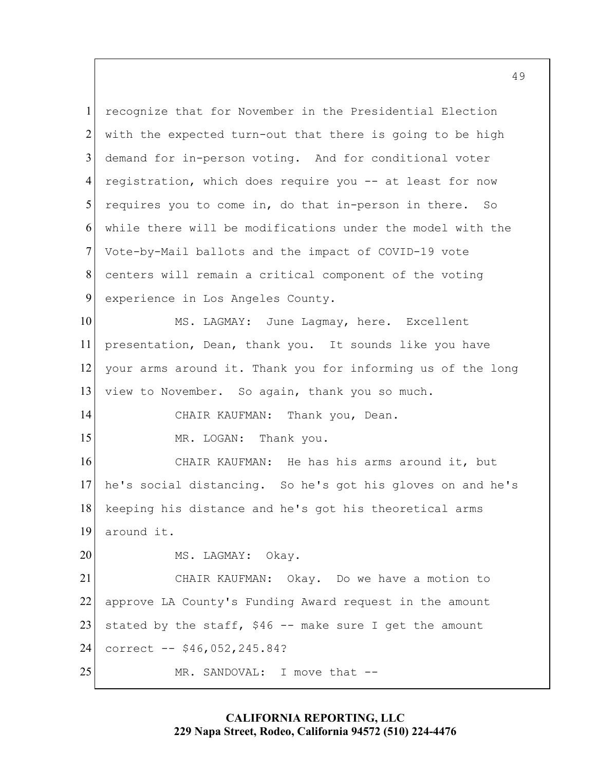registration, which does require you -- at least for now CHAIR KAUFMAN: Thank you, Dean. 5 10 15 20 25 1 2 3 4 6 7 8 9 11 12 13 14 16 17 18 19 21 22 23 24 recognize that for November in the Presidential Election with the expected turn-out that there is going to be high demand for in-person voting. And for conditional voter requires you to come in, do that in-person in there. So while there will be modifications under the model with the Vote-by-Mail ballots and the impact of COVID-19 vote centers will remain a critical component of the voting experience in Los Angeles County. MS. LAGMAY: June Lagmay, here. Excellent presentation, Dean, thank you. It sounds like you have your arms around it. Thank you for informing us of the long view to November. So again, thank you so much. MR. LOGAN: Thank you. CHAIR KAUFMAN: He has his arms around it, but he's social distancing. So he's got his gloves on and he's keeping his distance and he's got his theoretical arms around it. MS. LAGMAY: Okay. CHAIR KAUFMAN: Okay. Do we have a motion to approve LA County's Funding Award request in the amount stated by the staff,  $$46$  -- make sure I get the amount correct -- [\\$46,052,245.84?](https://46,052,245.84) MR. SANDOVAL: I move that --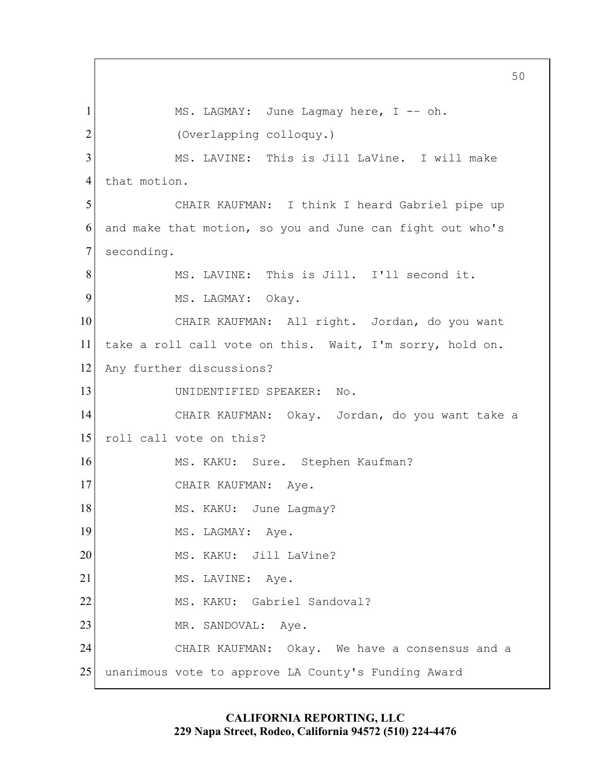MS. LAGMAY: June Lagmay here, I -– oh. and make that motion, so you and June can fight out who's CHAIR KAUFMAN: All right. Jordan, do you want take a roll call vote on this. Wait, I'm sorry, hold on. CHAIR KAUFMAN: Okay. Jordan, do you want take a CHAIR KAUFMAN: Aye. MS. LAGMAY: Aye. MS. KAKU: Jill LaVine? 5 10 15 20 25 1 2 3 4 6 7 8 9 11 12 13 14 16 17 18 19 21 22 23 24 (Overlapping colloquy.) MS. LAVINE: This is Jill LaVine. I will make that motion. CHAIR KAUFMAN: I think I heard Gabriel pipe up seconding. MS. LAVINE: This is Jill. I'll second it. MS. LAGMAY: Okay. Any further discussions? UNIDENTIFIED SPEAKER: No. roll call vote on this?<br>MS. KAKU: Sure. Stephen Kaufman? MS. KAKU: June Lagmay? MS. LAVINE: Aye. MS. KAKU: Gabriel Sandoval? MR. SANDOVAL: Aye. CHAIR KAUFMAN: Okay. We have a consensus and a unanimous vote to approve LA County's Funding Award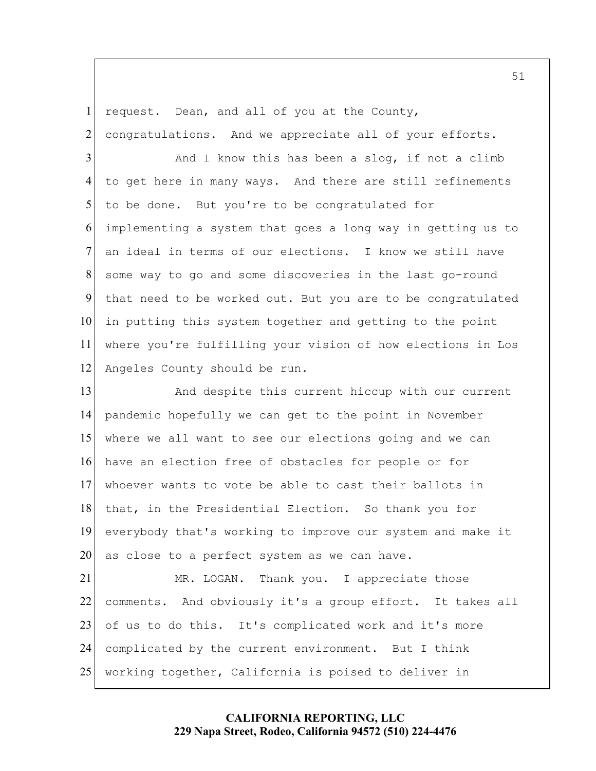request. Dean, and all of you at the County, 1 2 congratulations. And we appreciate all of your efforts.

5 10 3 4 6 7 8 9 11 12 And I know this has been a slog, if not a climb to get here in many ways. And there are still refinements to be done. But you're to be congratulated for implementing a system that goes a long way in getting us to an ideal in terms of our elections. I know we still have some way to go and some discoveries in the last go-round that need to be worked out. But you are to be congratulated in putting this system together and getting to the point where you're fulfilling your vision of how elections in Los Angeles County should be run.

 as close to a perfect system as we can have. 15 20 13 14 16 17 18 19 And despite this current hiccup with our current pandemic hopefully we can get to the point in November where we all want to see our elections going and we can have an election free of obstacles for people or for whoever wants to vote be able to cast their ballots in that, in the Presidential Election. So thank you for everybody that's working to improve our system and make it

25 21 22 23 24 MR. LOGAN. Thank you. I appreciate those comments. And obviously it's a group effort. It takes all of us to do this. It's complicated work and it's more complicated by the current environment. But I think working together, California is poised to deliver in

> **CALIFORNIA REPORTING, LLC 229 Napa Street, Rodeo, California 94572 (510) 224-4476**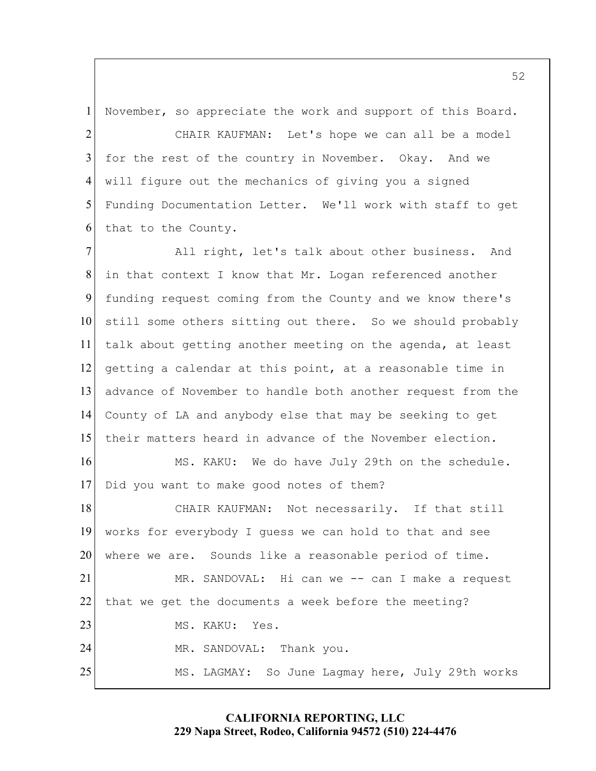1 November, so appreciate the work and support of this Board.

5 2 3 4 6 CHAIR KAUFMAN: Let's hope we can all be a model for the rest of the country in November. Okay. And we will figure out the mechanics of giving you a signed Funding Documentation Letter. We'll work with staff to get that to the County.

 MR. SANDOVAL: Hi can we -- can I make a request 10 15 20 25 7 8 9 11 12 13 14 16 17 18 19 21 22 23 24 All right, let's talk about other business. And in that context I know that Mr. Logan referenced another funding request coming from the County and we know there's still some others sitting out there. So we should probably talk about getting another meeting on the agenda, at least getting a calendar at this point, at a reasonable time in advance of November to handle both another request from the County of LA and anybody else that may be seeking to get their matters heard in advance of the November election. MS. KAKU: We do have July 29th on the schedule. Did you want to make good notes of them? CHAIR KAUFMAN: Not necessarily. If that still works for everybody I guess we can hold to that and see where we are. Sounds like a reasonable period of time. that we get the documents a week before the meeting? MS. KAKU: Yes. MR. SANDOVAL: Thank you. MS. LAGMAY: So June Lagmay here, July 29th works

## **CALIFORNIA REPORTING, LLC 229 Napa Street, Rodeo, California 94572 (510) 224-4476**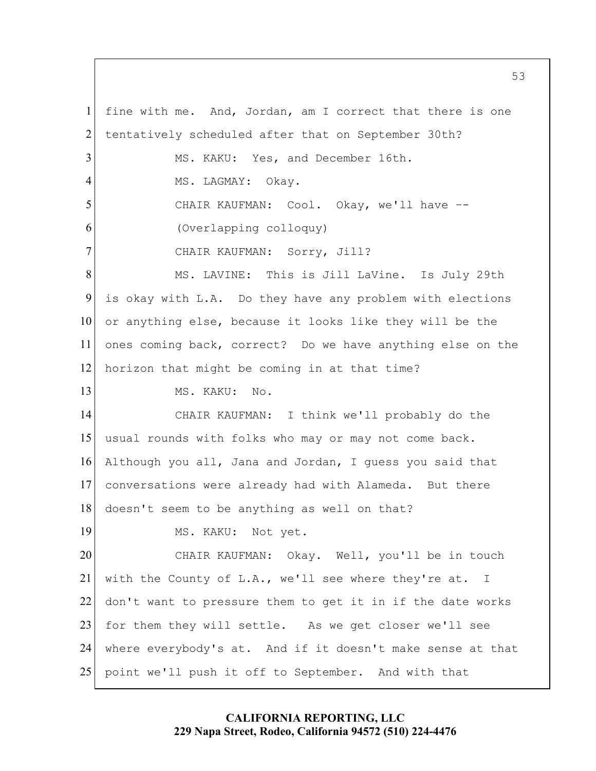fine with me. And, Jordan, am I correct that there is one is okay with L.A. Do they have any problem with elections ones coming back, correct? Do we have anything else on the doesn't seem to be anything as well on that? 5 10 15 20 25 1 2 3 4 6 7 8 9 11 12 13 14 16 17 18 19 21 22 23 24 tentatively scheduled after that on September 30th? MS. KAKU: Yes, and December 16th. MS. LAGMAY: Okay. CHAIR KAUFMAN: Cool. Okay, we'll have –- (Overlapping colloquy) CHAIR KAUFMAN: Sorry, Jill? MS. LAVINE: This is Jill LaVine. Is July 29th or anything else, because it looks like they will be the horizon that might be coming in at that time? MS. KAKU: No. CHAIR KAUFMAN: I think we'll probably do the usual rounds with folks who may or may not come back. Although you all, Jana and Jordan, I guess you said that conversations were already had with Alameda. But there MS. KAKU: Not yet. CHAIR KAUFMAN: Okay. Well, you'll be in touch with the County of L.A., we'll see where they're at. I don't want to pressure them to get it in if the date works for them they will settle. As we get closer we'll see where everybody's at. And if it doesn't make sense at that point we'll push it off to September. And with that